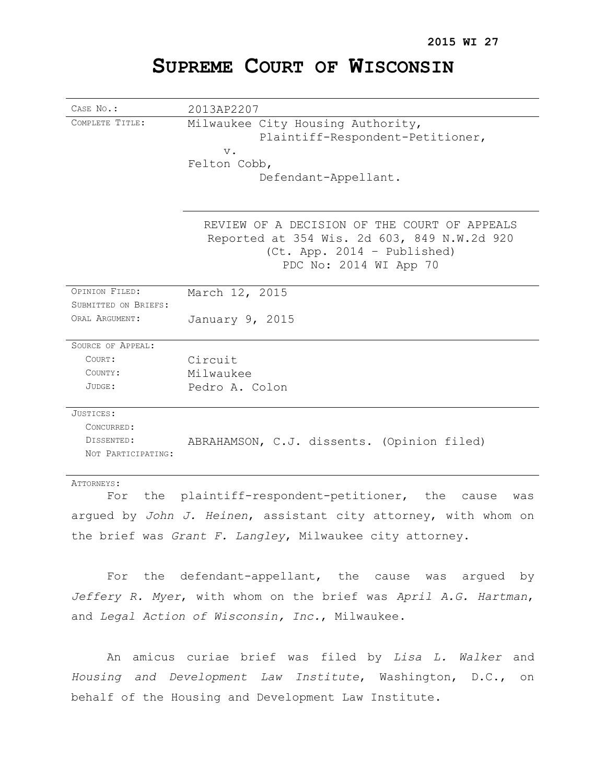# **SUPREME COURT OF WISCONSIN**

| CASE No.:            | 2013AP2207                                                                                                                 |
|----------------------|----------------------------------------------------------------------------------------------------------------------------|
| COMPLETE TITLE:      | Milwaukee City Housing Authority,                                                                                          |
|                      | Plaintiff-Respondent-Petitioner,                                                                                           |
|                      | $V$ .                                                                                                                      |
|                      | Felton Cobb,                                                                                                               |
|                      | Defendant-Appellant.                                                                                                       |
|                      |                                                                                                                            |
|                      | REVIEW OF A DECISION OF THE COURT OF APPEALS<br>Reported at 354 Wis. 2d 603, 849 N.W.2d 920<br>(Ct. App. 2014 - Published) |
|                      | PDC No: 2014 WI App 70                                                                                                     |
| OPINION FILED:       | March 12, 2015                                                                                                             |
| SUBMITTED ON BRIEFS: |                                                                                                                            |
| ORAL ARGUMENT:       | January 9, 2015                                                                                                            |
| SOURCE OF APPEAL:    |                                                                                                                            |
| COURT:               | Circuit                                                                                                                    |
| COUNTY:              | Milwaukee                                                                                                                  |
| JUDGE:               | Pedro A. Colon                                                                                                             |
| JUSTICES:            |                                                                                                                            |
| CONCURRED:           |                                                                                                                            |
| DISSENTED:           | ABRAHAMSON, C.J. dissents. (Opinion filed)                                                                                 |
| NOT PARTICIPATING:   |                                                                                                                            |
| ATTORNEYS:           |                                                                                                                            |
| the<br>For           | plaintiff-respondent-petitioner,<br>the<br>cause<br>was                                                                    |

argued by *John J. Heinen*, assistant city attorney, with whom on the brief was *Grant F. Langley*, Milwaukee city attorney.

For the defendant-appellant, the cause was argued by *Jeffery R. Myer*, with whom on the brief was *April A.G. Hartman*, and *Legal Action of Wisconsin, Inc.*, Milwaukee.

An amicus curiae brief was filed by *Lisa L. Walker* and *Housing and Development Law Institute*, Washington, D.C., on behalf of the Housing and Development Law Institute.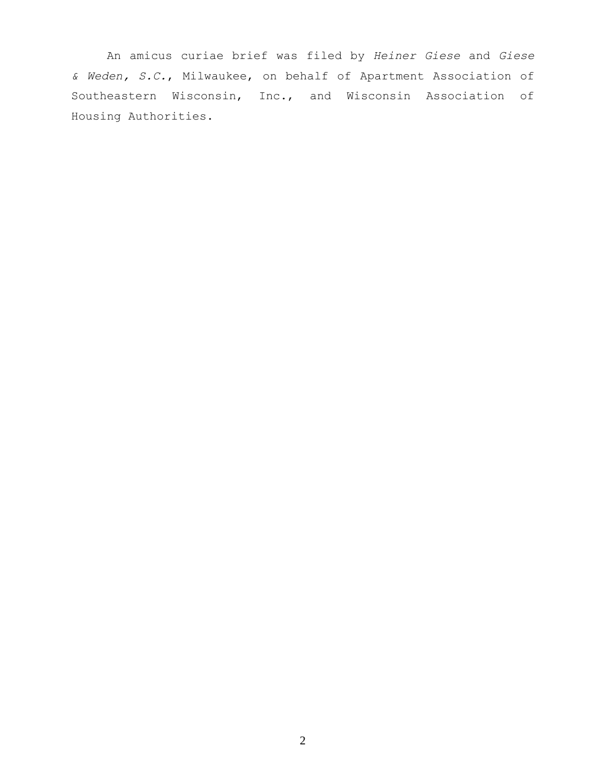An amicus curiae brief was filed by *Heiner Giese* and *Giese & Weden, S.C.*, Milwaukee, on behalf of Apartment Association of Southeastern Wisconsin, Inc., and Wisconsin Association of Housing Authorities.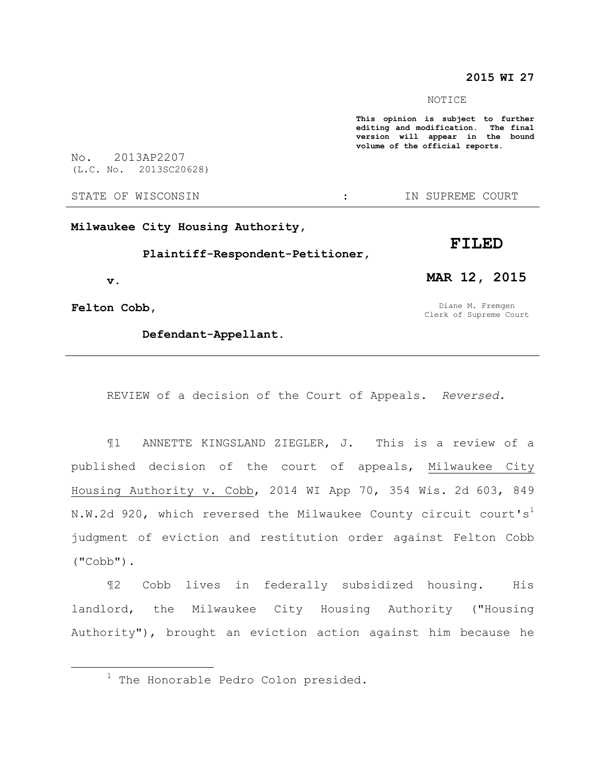### **2015 WI 27**

NOTICE

**This opinion is subject to further editing and modification. The final version will appear in the bound volume of the official reports.** 

No. 2013AP2207 (L.C. No. 2013SC20628)

STATE OF WISCONSIN THE STATE OF WISCONSIN THE STATE OF STATE OF STATE OF STATE OF STATE OF STATE OF STATE OF STATE OF STATE OF STATE OF STATE OF STATE OF STATE OF STATE OF STATE OF STATE OF STATE OF STATE OF STATE OF STATE

**Milwaukee City Housing Authority,** 

**Plaintiff-Respondent-Petitioner,** 

**v.**

**Felton Cobb,** 

 $\overline{a}$ 

**Defendant-Appellant.** 

**MAR 12, 2015**

**FILED**

Diane M. Fremgen Clerk of Supreme Court

REVIEW of a decision of the Court of Appeals. *Reversed.*

¶1 ANNETTE KINGSLAND ZIEGLER, J. This is a review of a published decision of the court of appeals, Milwaukee City Housing Authority v. Cobb, 2014 WI App 70, 354 Wis. 2d 603, 849 N.W.2d 920, which reversed the Milwaukee County circuit court's judgment of eviction and restitution order against Felton Cobb ("Cobb").

¶2 Cobb lives in federally subsidized housing. His landlord, the Milwaukee City Housing Authority ("Housing Authority"), brought an eviction action against him because he

<sup>&</sup>lt;sup>1</sup> The Honorable Pedro Colon presided.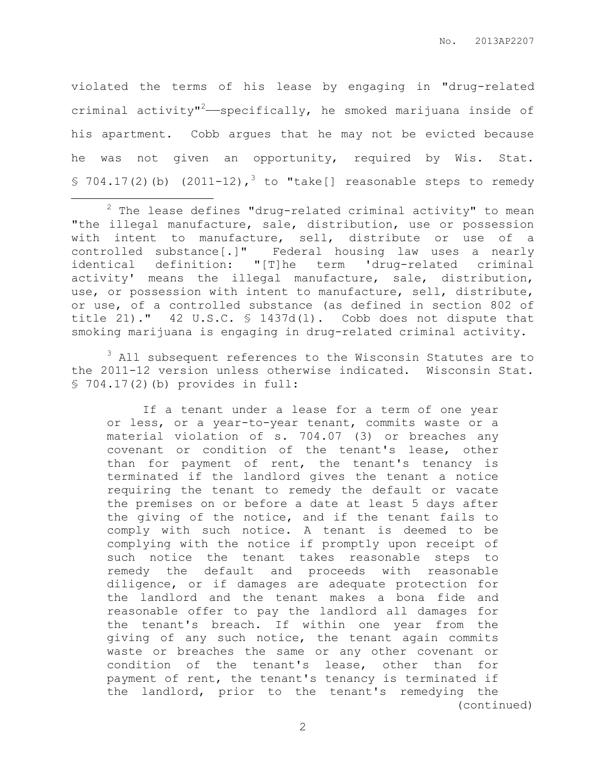violated the terms of his lease by engaging in "drug-related criminal activity"<sup>2</sup>—specifically, he smoked marijuana inside of his apartment. Cobb argues that he may not be evicted because he was not given an opportunity, required by Wis. Stat. § 704.17(2)(b) (2011-12),<sup>3</sup> to "take[] reasonable steps to remedy

<sup>3</sup> All subsequent references to the Wisconsin Statutes are to the 2011-12 version unless otherwise indicated. Wisconsin Stat. § 704.17(2)(b) provides in full:

If a tenant under a lease for a term of one year or less, or a year-to-year tenant, commits waste or a material violation of s. 704.07 (3) or breaches any covenant or condition of the tenant's lease, other than for payment of rent, the tenant's tenancy is terminated if the landlord gives the tenant a notice requiring the tenant to remedy the default or vacate the premises on or before a date at least 5 days after the giving of the notice, and if the tenant fails to comply with such notice. A tenant is deemed to be complying with the notice if promptly upon receipt of such notice the tenant takes reasonable steps to remedy the default and proceeds with reasonable diligence, or if damages are adequate protection for the landlord and the tenant makes a bona fide and reasonable offer to pay the landlord all damages for the tenant's breach. If within one year from the giving of any such notice, the tenant again commits waste or breaches the same or any other covenant or condition of the tenant's lease, other than for payment of rent, the tenant's tenancy is terminated if the landlord, prior to the tenant's remedying the (continued)

 $\overline{a}$  $2$  The lease defines "drug-related criminal activity" to mean "the illegal manufacture, sale, distribution, use or possession with intent to manufacture, sell, distribute or use of a controlled substance[.]" Federal housing law uses a nearly identical definition: "[T]he term 'drug-related criminal activity' means the illegal manufacture, sale, distribution, use, or possession with intent to manufacture, sell, distribute, or use, of a controlled substance (as defined in section 802 of title 21)." 42 U.S.C. § 1437d(l). Cobb does not dispute that smoking marijuana is engaging in drug-related criminal activity.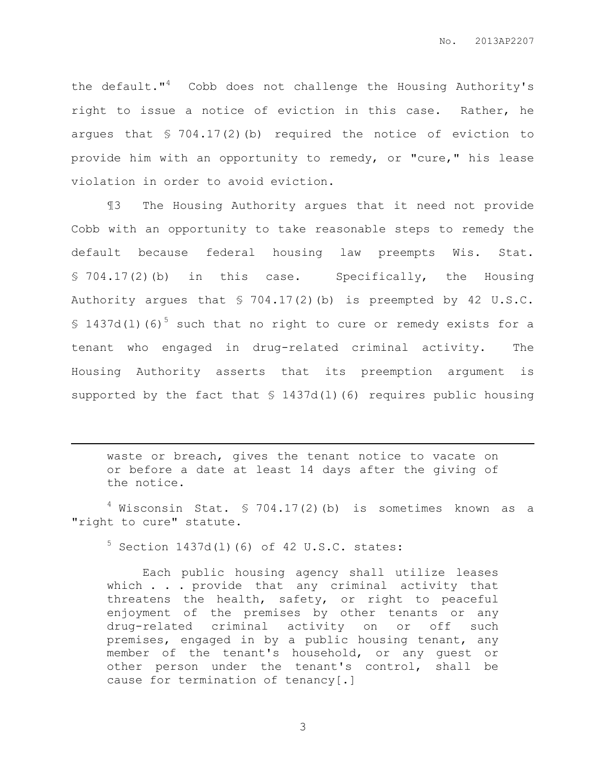the default."<sup>4</sup> Cobb does not challenge the Housing Authority's right to issue a notice of eviction in this case. Rather, he argues that § 704.17(2)(b) required the notice of eviction to provide him with an opportunity to remedy, or "cure," his lease violation in order to avoid eviction.

¶3 The Housing Authority argues that it need not provide Cobb with an opportunity to take reasonable steps to remedy the default because federal housing law preempts Wis. Stat. § 704.17(2)(b) in this case. Specifically, the Housing Authority argues that § 704.17(2)(b) is preempted by 42 U.S.C. § 1437d(1)(6)<sup>5</sup> such that no right to cure or remedy exists for a tenant who engaged in drug-related criminal activity. The Housing Authority asserts that its preemption argument is supported by the fact that § 1437d(l)(6) requires public housing

waste or breach, gives the tenant notice to vacate on or before a date at least 14 days after the giving of the notice.

 $4$  Wisconsin Stat. § 704.17(2)(b) is sometimes known as a "right to cure" statute.

 $5$  Section 1437d(1)(6) of 42 U.S.C. states:

 $\overline{a}$ 

Each public housing agency shall utilize leases which  $\ldots$  . provide that any criminal activity that threatens the health, safety, or right to peaceful enjoyment of the premises by other tenants or any drug-related criminal activity on or off such premises, engaged in by a public housing tenant, any member of the tenant's household, or any guest or other person under the tenant's control, shall be cause for termination of tenancy[.]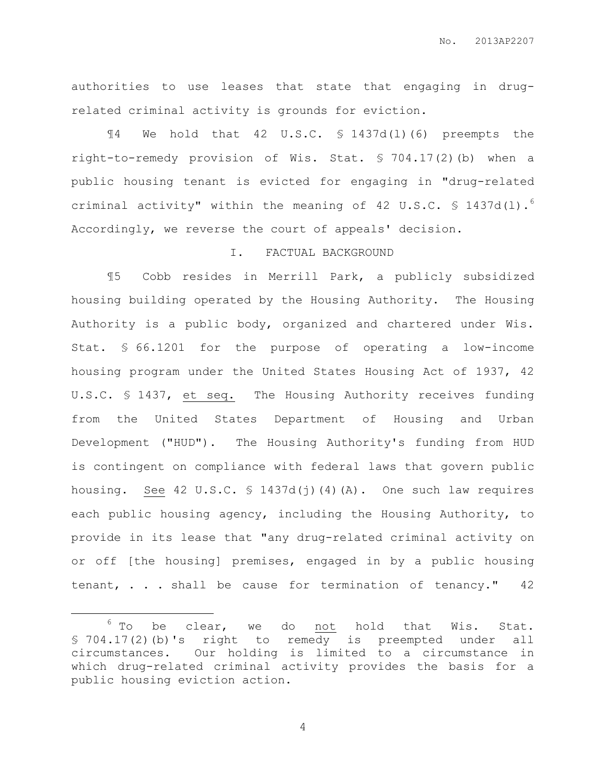authorities to use leases that state that engaging in drugrelated criminal activity is grounds for eviction.

¶4 We hold that 42 U.S.C. § 1437d(l)(6) preempts the right-to-remedy provision of Wis. Stat. § 704.17(2)(b) when a public housing tenant is evicted for engaging in "drug-related criminal activity" within the meaning of 42 U.S.C. § 1437d(l).<sup>6</sup> Accordingly, we reverse the court of appeals' decision.

#### I. FACTUAL BACKGROUND

¶5 Cobb resides in Merrill Park, a publicly subsidized housing building operated by the Housing Authority. The Housing Authority is a public body, organized and chartered under Wis. Stat. § 66.1201 for the purpose of operating a low-income housing program under the United States Housing Act of 1937, 42 U.S.C. § 1437, et seq. The Housing Authority receives funding from the United States Department of Housing and Urban Development ("HUD"). The Housing Authority's funding from HUD is contingent on compliance with federal laws that govern public housing. See 42 U.S.C.  $\frac{1437d(j)(4)}{A}$ . One such law requires each public housing agency, including the Housing Authority, to provide in its lease that "any drug-related criminal activity on or off [the housing] premises, engaged in by a public housing tenant, . . . shall be cause for termination of tenancy." 42

 $\overline{a}$ 

 $6$  To be clear, we do not hold that Wis. Stat. § 704.17(2)(b)'s right to remedy is preempted under all circumstances. Our holding is limited to a circumstance in which drug-related criminal activity provides the basis for a public housing eviction action.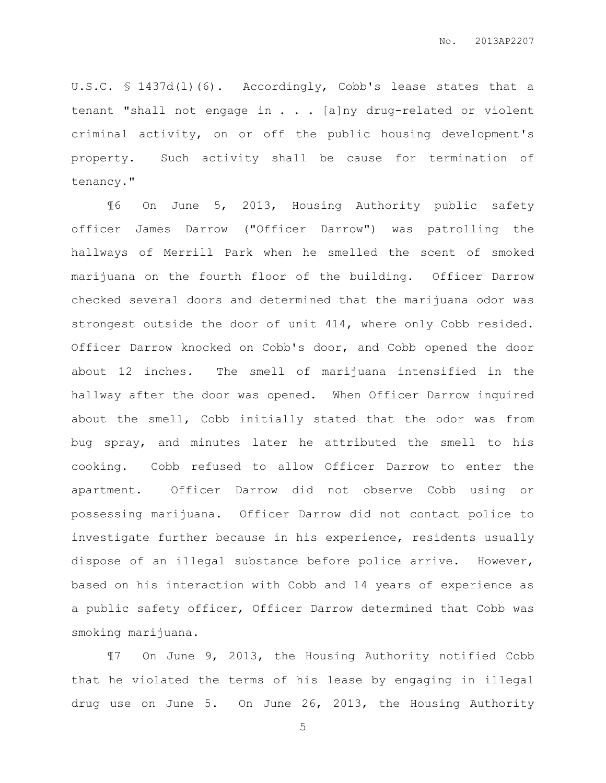U.S.C. § 1437d(l)(6). Accordingly, Cobb's lease states that a tenant "shall not engage in . . . [a]ny drug-related or violent criminal activity, on or off the public housing development's property. Such activity shall be cause for termination of tenancy."

¶6 On June 5, 2013, Housing Authority public safety officer James Darrow ("Officer Darrow") was patrolling the hallways of Merrill Park when he smelled the scent of smoked marijuana on the fourth floor of the building. Officer Darrow checked several doors and determined that the marijuana odor was strongest outside the door of unit 414, where only Cobb resided. Officer Darrow knocked on Cobb's door, and Cobb opened the door about 12 inches. The smell of marijuana intensified in the hallway after the door was opened. When Officer Darrow inquired about the smell, Cobb initially stated that the odor was from bug spray, and minutes later he attributed the smell to his cooking. Cobb refused to allow Officer Darrow to enter the apartment. Officer Darrow did not observe Cobb using or possessing marijuana. Officer Darrow did not contact police to investigate further because in his experience, residents usually dispose of an illegal substance before police arrive. However, based on his interaction with Cobb and 14 years of experience as a public safety officer, Officer Darrow determined that Cobb was smoking marijuana.

¶7 On June 9, 2013, the Housing Authority notified Cobb that he violated the terms of his lease by engaging in illegal drug use on June 5. On June 26, 2013, the Housing Authority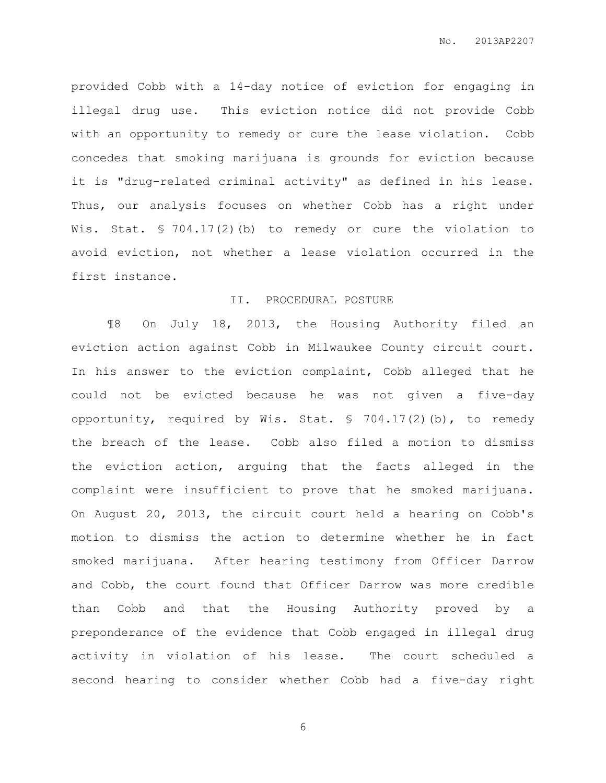provided Cobb with a 14-day notice of eviction for engaging in illegal drug use. This eviction notice did not provide Cobb with an opportunity to remedy or cure the lease violation. Cobb concedes that smoking marijuana is grounds for eviction because it is "drug-related criminal activity" as defined in his lease. Thus, our analysis focuses on whether Cobb has a right under Wis. Stat. § 704.17(2)(b) to remedy or cure the violation to avoid eviction, not whether a lease violation occurred in the first instance.

#### II. PROCEDURAL POSTURE

¶8 On July 18, 2013, the Housing Authority filed an eviction action against Cobb in Milwaukee County circuit court. In his answer to the eviction complaint, Cobb alleged that he could not be evicted because he was not given a five-day opportunity, required by Wis. Stat. § 704.17(2)(b), to remedy the breach of the lease. Cobb also filed a motion to dismiss the eviction action, arguing that the facts alleged in the complaint were insufficient to prove that he smoked marijuana. On August 20, 2013, the circuit court held a hearing on Cobb's motion to dismiss the action to determine whether he in fact smoked marijuana. After hearing testimony from Officer Darrow and Cobb, the court found that Officer Darrow was more credible than Cobb and that the Housing Authority proved by a preponderance of the evidence that Cobb engaged in illegal drug activity in violation of his lease. The court scheduled a second hearing to consider whether Cobb had a five-day right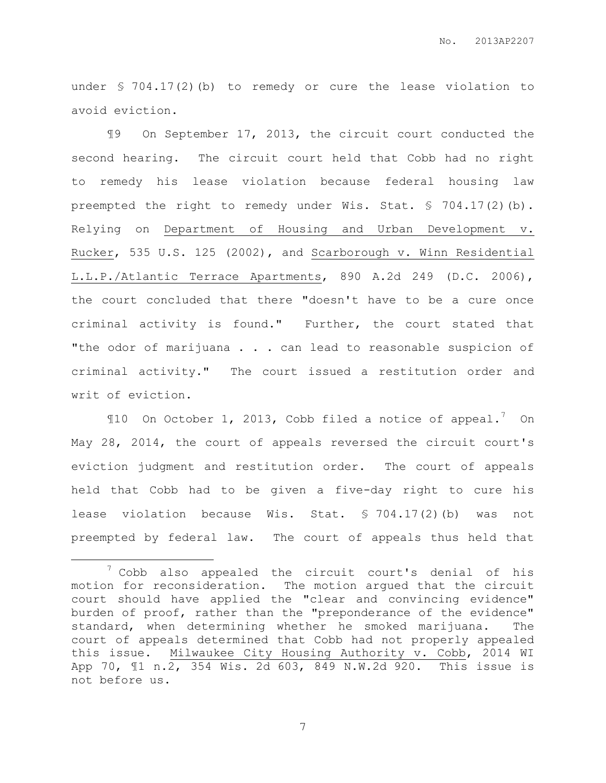under § 704.17(2)(b) to remedy or cure the lease violation to avoid eviction.

¶9 On September 17, 2013, the circuit court conducted the second hearing. The circuit court held that Cobb had no right to remedy his lease violation because federal housing law preempted the right to remedy under Wis. Stat. § 704.17(2)(b). Relying on Department of Housing and Urban Development v. Rucker, 535 U.S. 125 (2002), and Scarborough v. Winn Residential L.L.P./Atlantic Terrace Apartments, 890 A.2d 249 (D.C. 2006), the court concluded that there "doesn't have to be a cure once criminal activity is found." Further, the court stated that "the odor of marijuana . . . can lead to reasonable suspicion of criminal activity." The court issued a restitution order and writ of eviction.

 $$10$  On October 1, 2013, Cobb filed a notice of appeal.<sup>7</sup> On May 28, 2014, the court of appeals reversed the circuit court's eviction judgment and restitution order. The court of appeals held that Cobb had to be given a five-day right to cure his lease violation because Wis. Stat. § 704.17(2)(b) was not preempted by federal law. The court of appeals thus held that

 $\overline{a}$ 

 $7$  Cobb also appealed the circuit court's denial of his motion for reconsideration. The motion argued that the circuit court should have applied the "clear and convincing evidence" burden of proof, rather than the "preponderance of the evidence" standard, when determining whether he smoked marijuana. The court of appeals determined that Cobb had not properly appealed this issue. Milwaukee City Housing Authority v. Cobb, 2014 WI App 70, ¶1 n.2, 354 Wis. 2d 603, 849 N.W.2d 920. This issue is not before us.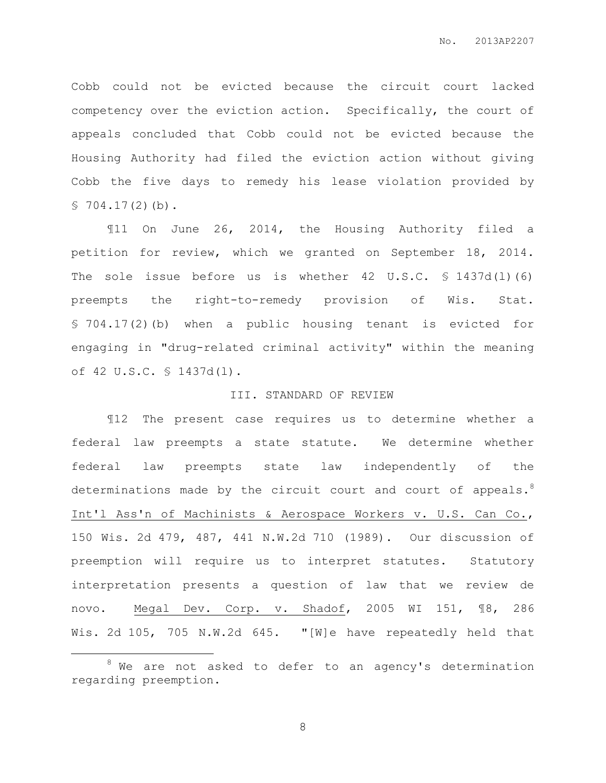Cobb could not be evicted because the circuit court lacked competency over the eviction action. Specifically, the court of appeals concluded that Cobb could not be evicted because the Housing Authority had filed the eviction action without giving Cobb the five days to remedy his lease violation provided by  $$704.17(2)(b)$ .

¶11 On June 26, 2014, the Housing Authority filed a petition for review, which we granted on September 18, 2014. The sole issue before us is whether 42 U.S.C. § 1437d(1)(6) preempts the right-to-remedy provision of Wis. Stat. § 704.17(2)(b) when a public housing tenant is evicted for engaging in "drug-related criminal activity" within the meaning of 42 U.S.C. § 1437d(l).

#### III. STANDARD OF REVIEW

¶12 The present case requires us to determine whether a federal law preempts a state statute. We determine whether federal law preempts state law independently of the determinations made by the circuit court and court of appeals. $8$ Int'l Ass'n of Machinists & Aerospace Workers v. U.S. Can Co., 150 Wis. 2d 479, 487, 441 N.W.2d 710 (1989). Our discussion of preemption will require us to interpret statutes. Statutory interpretation presents a question of law that we review de novo. Megal Dev. Corp. v. Shadof, 2005 WI 151, ¶8, 286 Wis. 2d 105, 705 N.W.2d 645. "[W]e have repeatedly held that

 $\overline{a}$ 

 $8$  We are not asked to defer to an agency's determination regarding preemption.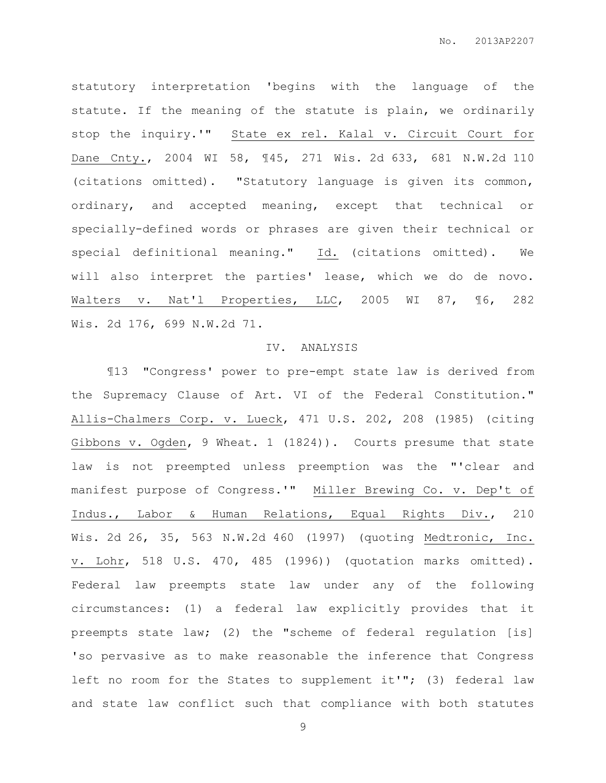statutory interpretation 'begins with the language of the statute. If the meaning of the statute is plain, we ordinarily stop the inquiry.'" State ex rel. Kalal v. Circuit Court for Dane Cnty., 2004 WI 58, ¶45, 271 Wis. 2d 633, 681 N.W.2d 110 (citations omitted). "Statutory language is given its common, ordinary, and accepted meaning, except that technical or specially-defined words or phrases are given their technical or special definitional meaning." Id. (citations omitted). We will also interpret the parties' lease, which we do de novo. Walters v. Nat'l Properties, LLC, 2005 WI 87, ¶6, 282 Wis. 2d 176, 699 N.W.2d 71.

#### IV. ANALYSIS

¶13 "Congress' power to pre-empt state law is derived from the Supremacy Clause of Art. VI of the Federal Constitution." Allis-Chalmers Corp. v. Lueck, 471 U.S. 202, 208 (1985) (citing Gibbons v. Ogden, 9 Wheat. 1 (1824)). Courts presume that state law is not preempted unless preemption was the "'clear and manifest purpose of Congress.'" Miller Brewing Co. v. Dep't of Indus., Labor & Human Relations, Equal Rights Div., 210 Wis. 2d 26, 35, 563 N.W.2d 460 (1997) (quoting Medtronic, Inc. v. Lohr, 518 U.S. 470, 485 (1996)) (quotation marks omitted). Federal law preempts state law under any of the following circumstances: (1) a federal law explicitly provides that it preempts state law; (2) the "scheme of federal regulation [is] 'so pervasive as to make reasonable the inference that Congress left no room for the States to supplement it'"; (3) federal law and state law conflict such that compliance with both statutes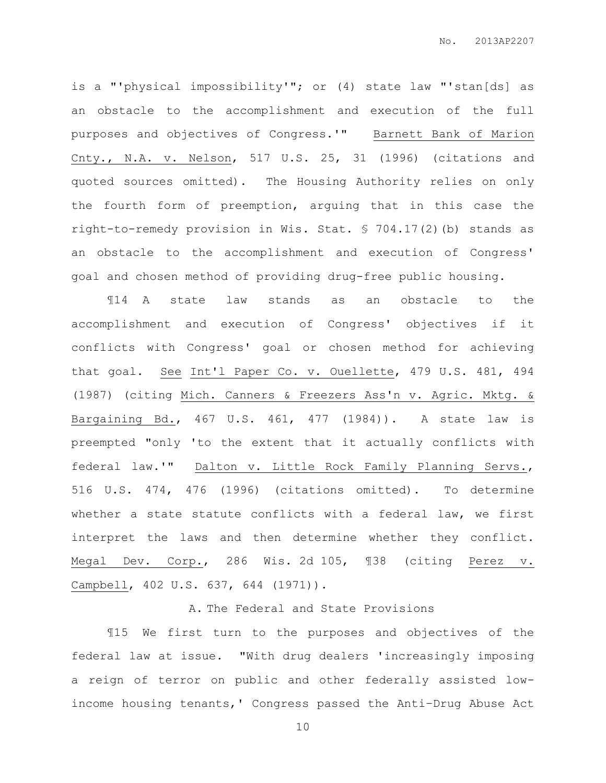is a "'physical impossibility'"; or (4) state law "'stan[ds] as an obstacle to the accomplishment and execution of the full purposes and objectives of Congress.'" Barnett Bank of Marion Cnty., N.A. v. Nelson, 517 U.S. 25, 31 (1996) (citations and quoted sources omitted). The Housing Authority relies on only the fourth form of preemption, arguing that in this case the right-to-remedy provision in Wis. Stat. § 704.17(2)(b) stands as an obstacle to the accomplishment and execution of Congress' goal and chosen method of providing drug-free public housing.

¶14 A state law stands as an obstacle to the accomplishment and execution of Congress' objectives if it conflicts with Congress' goal or chosen method for achieving that goal. See Int'l Paper Co. v. Ouellette, 479 U.S. 481, 494 (1987) (citing Mich. Canners & Freezers Ass'n v. Agric. Mktg. & Bargaining Bd., 467 U.S. 461, 477 (1984)). A state law is preempted "only 'to the extent that it actually conflicts with federal law.'" Dalton v. Little Rock Family Planning Servs., 516 U.S. 474, 476 (1996) (citations omitted). To determine whether a state statute conflicts with a federal law, we first interpret the laws and then determine whether they conflict. Megal Dev. Corp., 286 Wis. 2d 105, ¶38 (citing Perez v. Campbell, 402 U.S. 637, 644 (1971)).

### A. The Federal and State Provisions

¶15 We first turn to the purposes and objectives of the federal law at issue. "With drug dealers 'increasingly imposing a reign of terror on public and other federally assisted lowincome housing tenants,' Congress passed the Anti–Drug Abuse Act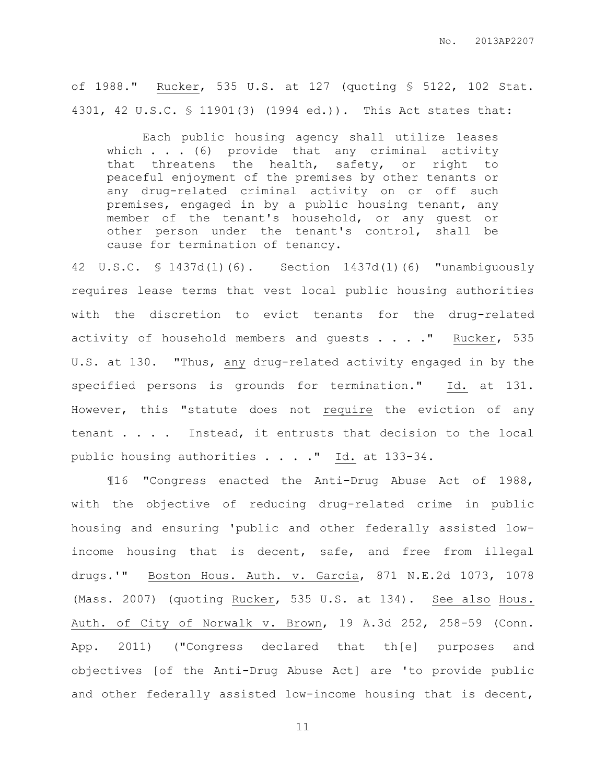of 1988." Rucker, 535 U.S. at 127 (quoting § 5122, 102 Stat. 4301, 42 U.S.C. § 11901(3) (1994 ed.)). This Act states that:

Each public housing agency shall utilize leases which  $\ldots$  . (6) provide that any criminal activity that threatens the health, safety, or right to peaceful enjoyment of the premises by other tenants or any drug-related criminal activity on or off such premises, engaged in by a public housing tenant, any member of the tenant's household, or any guest or other person under the tenant's control, shall be cause for termination of tenancy.

42 U.S.C. § 1437d(l)(6). Section 1437d(l)(6) "unambiguously requires lease terms that vest local public housing authorities with the discretion to evict tenants for the drug-related activity of household members and quests . . . . " Rucker, 535 U.S. at 130. "Thus, any drug-related activity engaged in by the specified persons is grounds for termination." Id. at 131. However, this "statute does not require the eviction of any tenant . . . Instead, it entrusts that decision to the local public housing authorities . . . . " Id. at 133-34.

¶16 "Congress enacted the Anti–Drug Abuse Act of 1988, with the objective of reducing drug-related crime in public housing and ensuring 'public and other federally assisted lowincome housing that is decent, safe, and free from illegal drugs.'" Boston Hous. Auth. v. Garcia, 871 N.E.2d 1073, 1078 (Mass. 2007) (quoting Rucker, 535 U.S. at 134). See also Hous. Auth. of City of Norwalk v. Brown, 19 A.3d 252, 258-59 (Conn. App. 2011) ("Congress declared that th[e] purposes and objectives [of the Anti-Drug Abuse Act] are 'to provide public and other federally assisted low-income housing that is decent,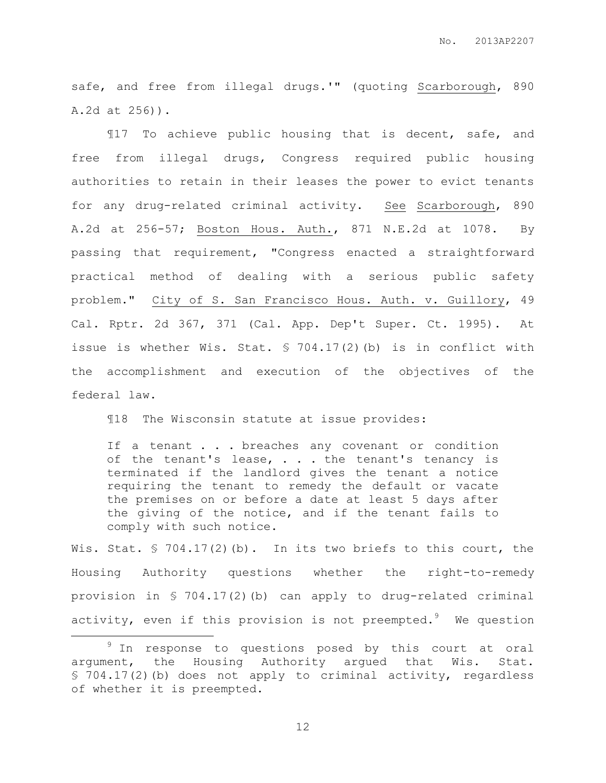safe, and free from illegal drugs.'" (quoting Scarborough, 890 A.2d at 256)).

¶17 To achieve public housing that is decent, safe, and free from illegal drugs, Congress required public housing authorities to retain in their leases the power to evict tenants for any drug-related criminal activity. See Scarborough, 890 A.2d at 256-57; Boston Hous. Auth., 871 N.E.2d at 1078. By passing that requirement, "Congress enacted a straightforward practical method of dealing with a serious public safety problem." City of S. San Francisco Hous. Auth. v. Guillory, 49 Cal. Rptr. 2d 367, 371 (Cal. App. Dep't Super. Ct. 1995). At issue is whether Wis. Stat. § 704.17(2)(b) is in conflict with the accomplishment and execution of the objectives of the federal law.

¶18 The Wisconsin statute at issue provides:

If a tenant . . . breaches any covenant or condition of the tenant's lease,  $\ldots$  the tenant's tenancy is terminated if the landlord gives the tenant a notice requiring the tenant to remedy the default or vacate the premises on or before a date at least 5 days after the giving of the notice, and if the tenant fails to comply with such notice.

Wis. Stat. § 704.17(2)(b). In its two briefs to this court, the Housing Authority questions whether the right-to-remedy provision in § 704.17(2)(b) can apply to drug-related criminal activity, even if this provision is not preempted.<sup>9</sup> We question

 $\overline{a}$ 

<sup>&</sup>lt;sup>9</sup> In response to questions posed by this court at oral argument, the Housing Authority argued that Wis. Stat. § 704.17(2)(b) does not apply to criminal activity, regardless of whether it is preempted.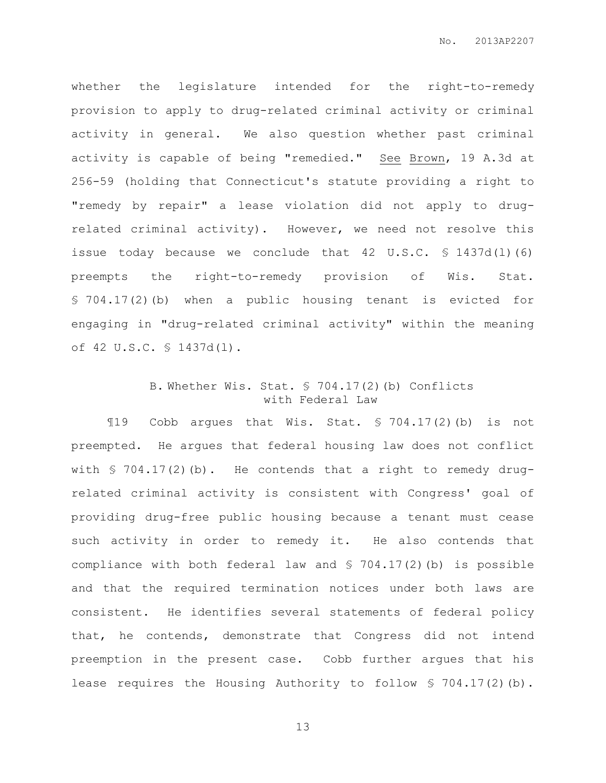whether the legislature intended for the right-to-remedy provision to apply to drug-related criminal activity or criminal activity in general. We also question whether past criminal activity is capable of being "remedied." See Brown, 19 A.3d at 256-59 (holding that Connecticut's statute providing a right to "remedy by repair" a lease violation did not apply to drugrelated criminal activity). However, we need not resolve this issue today because we conclude that 42 U.S.C. § 1437d(l)(6) preempts the right-to-remedy provision of Wis. Stat. § 704.17(2)(b) when a public housing tenant is evicted for engaging in "drug-related criminal activity" within the meaning of 42 U.S.C. § 1437d(l).

## B. Whether Wis. Stat. § 704.17(2)(b) Conflicts with Federal Law

¶19 Cobb argues that Wis. Stat. § 704.17(2)(b) is not preempted. He argues that federal housing law does not conflict with  $\frac{1}{2}$  704.17(2)(b). He contends that a right to remedy drugrelated criminal activity is consistent with Congress' goal of providing drug-free public housing because a tenant must cease such activity in order to remedy it. He also contends that compliance with both federal law and  $$ 704.17(2)$  (b) is possible and that the required termination notices under both laws are consistent. He identifies several statements of federal policy that, he contends, demonstrate that Congress did not intend preemption in the present case. Cobb further argues that his lease requires the Housing Authority to follow  $$ 704.17(2)$  (b).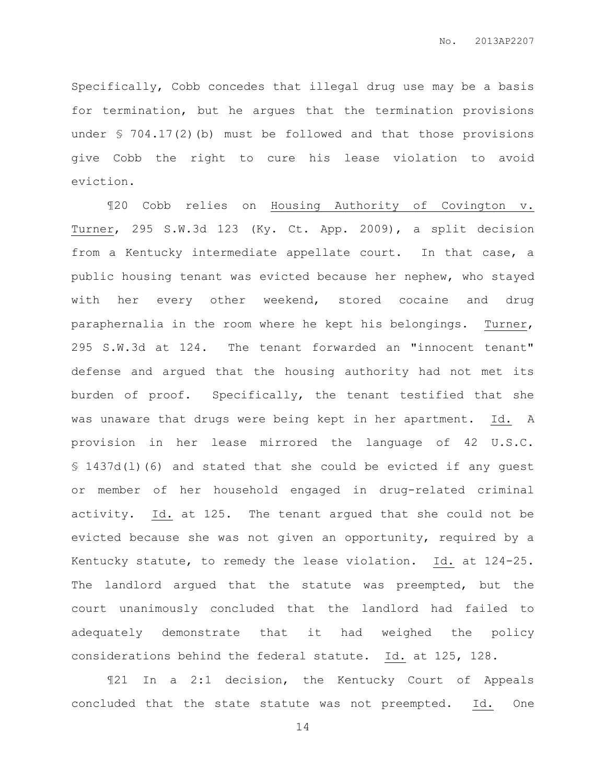Specifically, Cobb concedes that illegal drug use may be a basis for termination, but he argues that the termination provisions under § 704.17(2)(b) must be followed and that those provisions give Cobb the right to cure his lease violation to avoid eviction.

¶20 Cobb relies on Housing Authority of Covington v. Turner, 295 S.W.3d 123 (Ky. Ct. App. 2009), a split decision from a Kentucky intermediate appellate court. In that case, a public housing tenant was evicted because her nephew, who stayed with her every other weekend, stored cocaine and drug paraphernalia in the room where he kept his belongings. Turner, 295 S.W.3d at 124. The tenant forwarded an "innocent tenant" defense and argued that the housing authority had not met its burden of proof. Specifically, the tenant testified that she was unaware that drugs were being kept in her apartment. Id. A provision in her lease mirrored the language of 42 U.S.C. § 1437d(l)(6) and stated that she could be evicted if any guest or member of her household engaged in drug-related criminal activity. Id. at 125. The tenant argued that she could not be evicted because she was not given an opportunity, required by a Kentucky statute, to remedy the lease violation. Id. at 124-25. The landlord argued that the statute was preempted, but the court unanimously concluded that the landlord had failed to adequately demonstrate that it had weighed the policy considerations behind the federal statute. Id. at 125, 128.

¶21 In a 2:1 decision, the Kentucky Court of Appeals concluded that the state statute was not preempted. Id. One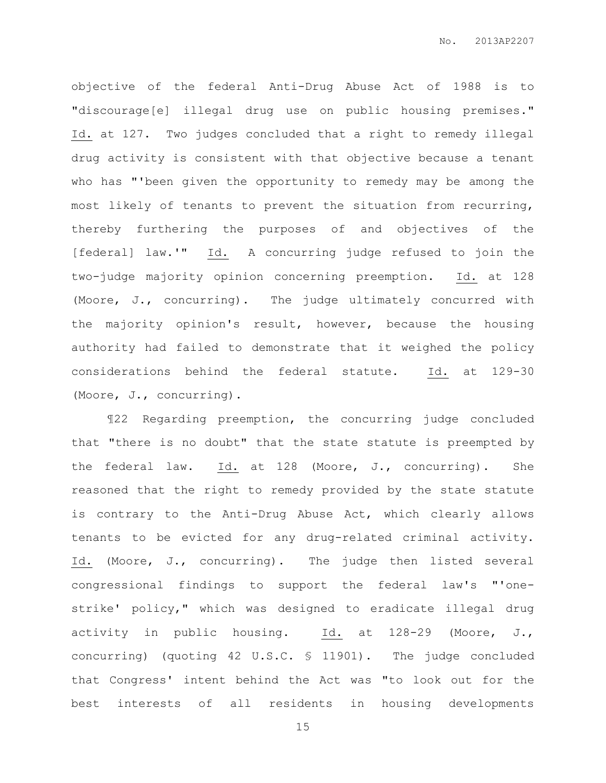objective of the federal Anti-Drug Abuse Act of 1988 is to "discourage[e] illegal drug use on public housing premises." Id. at 127. Two judges concluded that a right to remedy illegal drug activity is consistent with that objective because a tenant who has "'been given the opportunity to remedy may be among the most likely of tenants to prevent the situation from recurring, thereby furthering the purposes of and objectives of the [federal] law.'" Id. A concurring judge refused to join the two-judge majority opinion concerning preemption. Id. at 128 (Moore, J., concurring). The judge ultimately concurred with the majority opinion's result, however, because the housing authority had failed to demonstrate that it weighed the policy considerations behind the federal statute. Id. at 129-30 (Moore, J., concurring).

¶22 Regarding preemption, the concurring judge concluded that "there is no doubt" that the state statute is preempted by the federal law. Id. at 128 (Moore, J., concurring). She reasoned that the right to remedy provided by the state statute is contrary to the Anti-Drug Abuse Act, which clearly allows tenants to be evicted for any drug-related criminal activity. Id. (Moore, J., concurring). The judge then listed several congressional findings to support the federal law's "'onestrike' policy," which was designed to eradicate illegal drug activity in public housing. Id. at 128-29 (Moore, J., concurring) (quoting 42 U.S.C. § 11901). The judge concluded that Congress' intent behind the Act was "to look out for the best interests of all residents in housing developments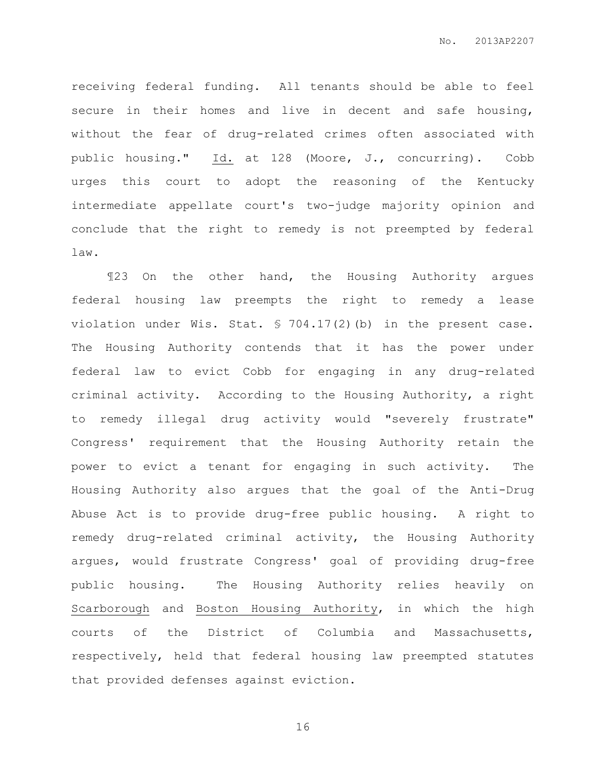receiving federal funding. All tenants should be able to feel secure in their homes and live in decent and safe housing, without the fear of drug-related crimes often associated with public housing." Id. at 128 (Moore, J., concurring). Cobb urges this court to adopt the reasoning of the Kentucky intermediate appellate court's two-judge majority opinion and conclude that the right to remedy is not preempted by federal law.

¶23 On the other hand, the Housing Authority argues federal housing law preempts the right to remedy a lease violation under Wis. Stat. § 704.17(2)(b) in the present case. The Housing Authority contends that it has the power under federal law to evict Cobb for engaging in any drug-related criminal activity. According to the Housing Authority, a right to remedy illegal drug activity would "severely frustrate" Congress' requirement that the Housing Authority retain the power to evict a tenant for engaging in such activity. The Housing Authority also argues that the goal of the Anti-Drug Abuse Act is to provide drug-free public housing. A right to remedy drug-related criminal activity, the Housing Authority argues, would frustrate Congress' goal of providing drug-free public housing. The Housing Authority relies heavily on Scarborough and Boston Housing Authority, in which the high courts of the District of Columbia and Massachusetts, respectively, held that federal housing law preempted statutes that provided defenses against eviction.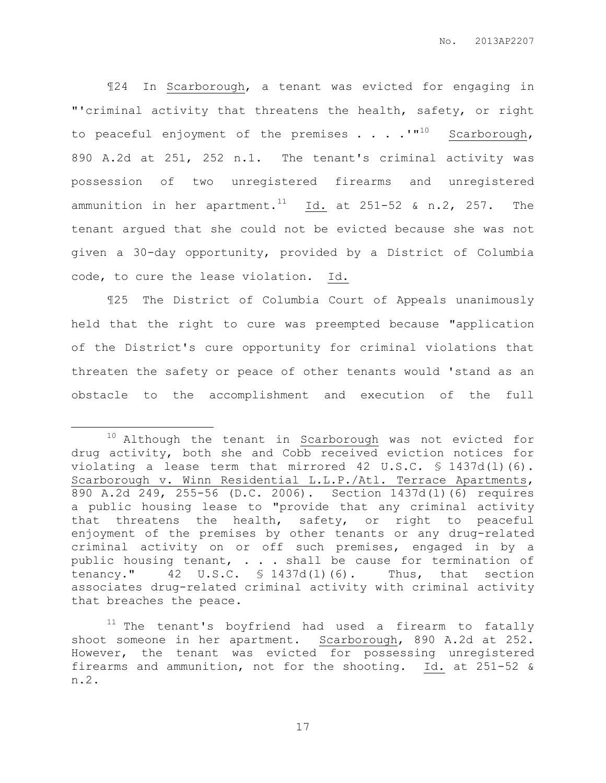¶24 In Scarborough, a tenant was evicted for engaging in "'criminal activity that threatens the health, safety, or right to peaceful enjoyment of the premises  $\ldots$  .  $\cdot$   $\cdot$   $\cdot$  Scarborough, 890 A.2d at 251, 252 n.1. The tenant's criminal activity was possession of two unregistered firearms and unregistered ammunition in her apartment.<sup>11</sup> Id. at 251-52 & n.2, 257. The tenant argued that she could not be evicted because she was not given a 30-day opportunity, provided by a District of Columbia code, to cure the lease violation. Id.

¶25 The District of Columbia Court of Appeals unanimously held that the right to cure was preempted because "application of the District's cure opportunity for criminal violations that threaten the safety or peace of other tenants would 'stand as an obstacle to the accomplishment and execution of the full

 $\overline{a}$ 

<sup>&</sup>lt;sup>10</sup> Although the tenant in **Scarborough** was not evicted for drug activity, both she and Cobb received eviction notices for violating a lease term that mirrored 42 U.S.C. § 1437d(l)(6). Scarborough v. Winn Residential L.L.P./Atl. Terrace Apartments, 890 A.2d 249, 255-56 (D.C. 2006). Section 1437d(l)(6) requires a public housing lease to "provide that any criminal activity that threatens the health, safety, or right to peaceful enjoyment of the premises by other tenants or any drug-related criminal activity on or off such premises, engaged in by a public housing tenant, . . . shall be cause for termination of tenancy." 42 U.S.C. § 1437d(l)(6). Thus, that section associates drug-related criminal activity with criminal activity that breaches the peace.

 $11$  The tenant's boyfriend had used a firearm to fatally shoot someone in her apartment. Scarborough, 890 A.2d at 252. However, the tenant was evicted for possessing unregistered firearms and ammunition, not for the shooting. Id. at 251-52 & n.2.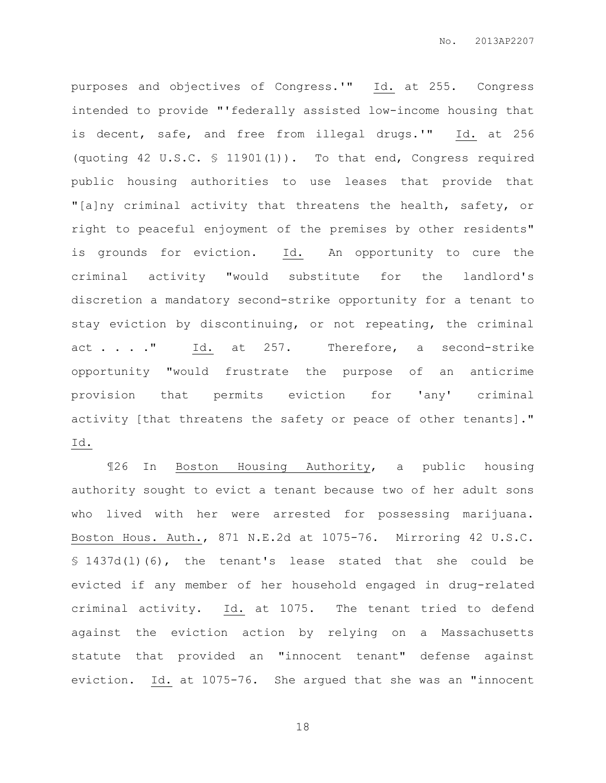purposes and objectives of Congress.'" Id. at 255. Congress intended to provide "'federally assisted low-income housing that is decent, safe, and free from illegal drugs.'" Id. at 256 (quoting 42 U.S.C. § 11901(1)). To that end, Congress required public housing authorities to use leases that provide that "[a]ny criminal activity that threatens the health, safety, or right to peaceful enjoyment of the premises by other residents" is grounds for eviction. Id. An opportunity to cure the criminal activity "would substitute for the landlord's discretion a mandatory second-strike opportunity for a tenant to stay eviction by discontinuing, or not repeating, the criminal act . . . " Id. at 257. Therefore, a second-strike opportunity "would frustrate the purpose of an anticrime provision that permits eviction for 'any' criminal activity [that threatens the safety or peace of other tenants]." Id.

¶26 In Boston Housing Authority, a public housing authority sought to evict a tenant because two of her adult sons who lived with her were arrested for possessing marijuana. Boston Hous. Auth., 871 N.E.2d at 1075-76. Mirroring 42 U.S.C. § 1437d(l)(6), the tenant's lease stated that she could be evicted if any member of her household engaged in drug-related criminal activity. Id. at 1075. The tenant tried to defend against the eviction action by relying on a Massachusetts statute that provided an "innocent tenant" defense against eviction. Id. at 1075-76. She argued that she was an "innocent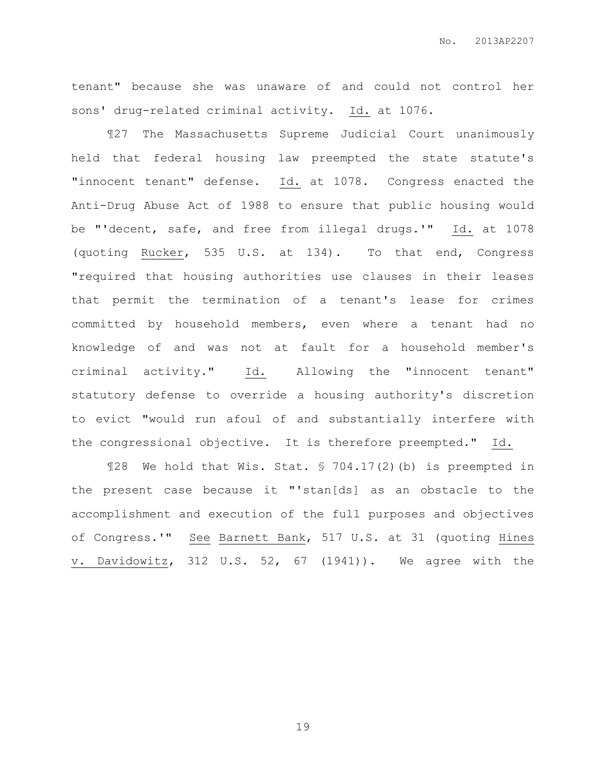tenant" because she was unaware of and could not control her sons' drug-related criminal activity. Id. at 1076.

¶27 The Massachusetts Supreme Judicial Court unanimously held that federal housing law preempted the state statute's "innocent tenant" defense. Id. at 1078. Congress enacted the Anti-Drug Abuse Act of 1988 to ensure that public housing would be "'decent, safe, and free from illegal drugs.'" Id. at 1078 (quoting Rucker, 535 U.S. at 134). To that end, Congress "required that housing authorities use clauses in their leases that permit the termination of a tenant's lease for crimes committed by household members, even where a tenant had no knowledge of and was not at fault for a household member's criminal activity." Id. Allowing the "innocent tenant" statutory defense to override a housing authority's discretion to evict "would run afoul of and substantially interfere with the congressional objective. It is therefore preempted." Id.

¶28 We hold that Wis. Stat. § 704.17(2)(b) is preempted in the present case because it "'stan[ds] as an obstacle to the accomplishment and execution of the full purposes and objectives of Congress.'" See Barnett Bank, 517 U.S. at 31 (quoting Hines v. Davidowitz, 312 U.S. 52, 67 (1941)). We agree with the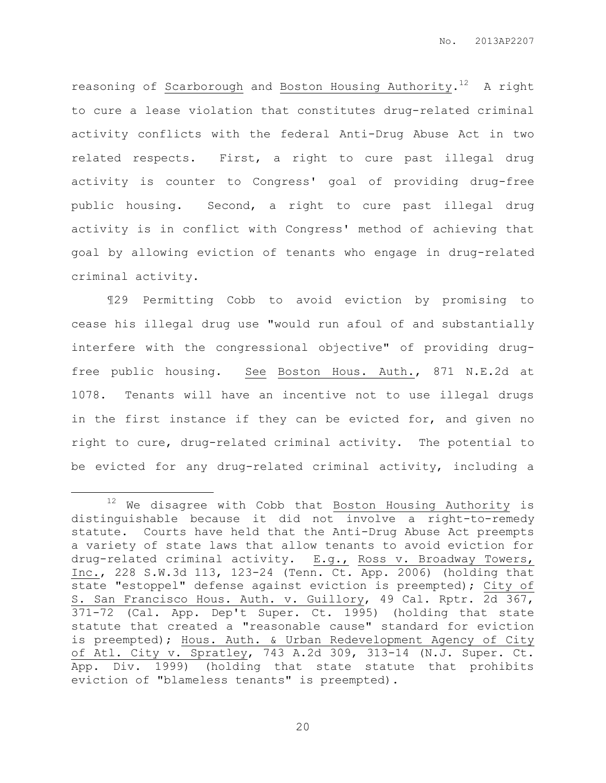reasoning of Scarborough and Boston Housing Authority. $^{12}$  A right to cure a lease violation that constitutes drug-related criminal activity conflicts with the federal Anti-Drug Abuse Act in two related respects. First, a right to cure past illegal drug activity is counter to Congress' goal of providing drug-free public housing. Second, a right to cure past illegal drug activity is in conflict with Congress' method of achieving that goal by allowing eviction of tenants who engage in drug-related criminal activity.

¶29 Permitting Cobb to avoid eviction by promising to cease his illegal drug use "would run afoul of and substantially interfere with the congressional objective" of providing drugfree public housing. See Boston Hous. Auth., 871 N.E.2d at 1078. Tenants will have an incentive not to use illegal drugs in the first instance if they can be evicted for, and given no right to cure, drug-related criminal activity. The potential to be evicted for any drug-related criminal activity, including a

 $\overline{a}$ 

 $12$  We disagree with Cobb that Boston Housing Authority is distinguishable because it did not involve a right-to-remedy statute. Courts have held that the Anti-Drug Abuse Act preempts a variety of state laws that allow tenants to avoid eviction for drug-related criminal activity. E.g., Ross v. Broadway Towers, Inc., 228 S.W.3d 113, 123-24 (Tenn. Ct. App. 2006) (holding that state "estoppel" defense against eviction is preempted); City of S. San Francisco Hous. Auth. v. Guillory, 49 Cal. Rptr. 2d 367, 371-72 (Cal. App. Dep't Super. Ct. 1995) (holding that state statute that created a "reasonable cause" standard for eviction is preempted); Hous. Auth. & Urban Redevelopment Agency of City of Atl. City v. Spratley, 743 A.2d 309, 313-14 (N.J. Super. Ct. App. Div. 1999) (holding that state statute that prohibits eviction of "blameless tenants" is preempted).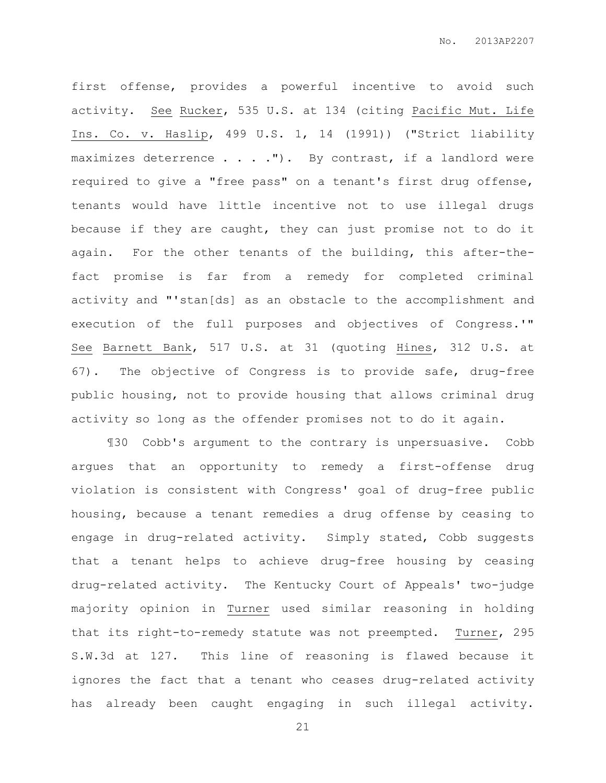first offense, provides a powerful incentive to avoid such activity. See Rucker, 535 U.S. at 134 (citing Pacific Mut. Life Ins. Co. v. Haslip, 499 U.S. 1, 14 (1991)) ("Strict liability maximizes deterrence . . . . "). By contrast, if a landlord were required to give a "free pass" on a tenant's first drug offense, tenants would have little incentive not to use illegal drugs because if they are caught, they can just promise not to do it again. For the other tenants of the building, this after-thefact promise is far from a remedy for completed criminal activity and "'stan[ds] as an obstacle to the accomplishment and execution of the full purposes and objectives of Congress.'" See Barnett Bank, 517 U.S. at 31 (quoting Hines, 312 U.S. at 67). The objective of Congress is to provide safe, drug-free public housing, not to provide housing that allows criminal drug activity so long as the offender promises not to do it again.

¶30 Cobb's argument to the contrary is unpersuasive. Cobb argues that an opportunity to remedy a first-offense drug violation is consistent with Congress' goal of drug-free public housing, because a tenant remedies a drug offense by ceasing to engage in drug-related activity. Simply stated, Cobb suggests that a tenant helps to achieve drug-free housing by ceasing drug-related activity. The Kentucky Court of Appeals' two-judge majority opinion in Turner used similar reasoning in holding that its right-to-remedy statute was not preempted. Turner, 295 S.W.3d at 127. This line of reasoning is flawed because it ignores the fact that a tenant who ceases drug-related activity has already been caught engaging in such illegal activity.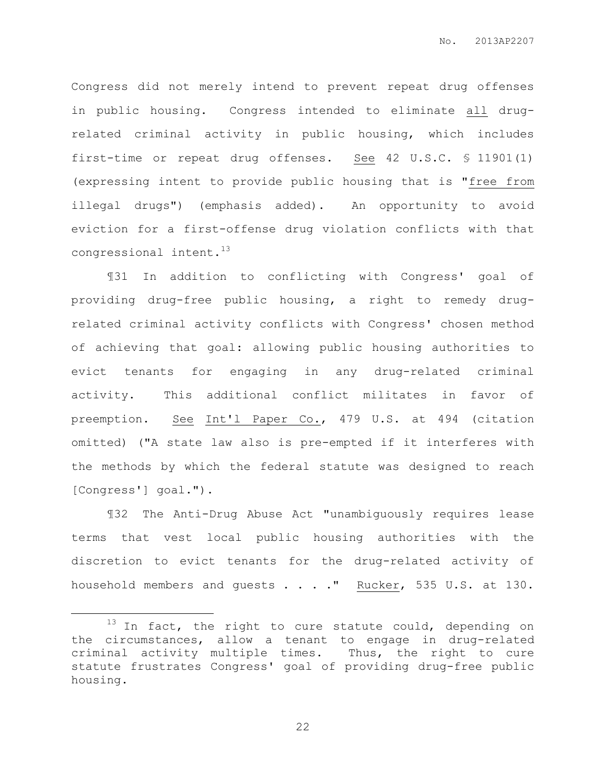Congress did not merely intend to prevent repeat drug offenses in public housing. Congress intended to eliminate all drugrelated criminal activity in public housing, which includes first-time or repeat drug offenses. See 42 U.S.C. § 11901(1) (expressing intent to provide public housing that is "free from illegal drugs") (emphasis added). An opportunity to avoid eviction for a first-offense drug violation conflicts with that congressional intent.<sup>13</sup>

¶31 In addition to conflicting with Congress' goal of providing drug-free public housing, a right to remedy drugrelated criminal activity conflicts with Congress' chosen method of achieving that goal: allowing public housing authorities to evict tenants for engaging in any drug-related criminal activity. This additional conflict militates in favor of preemption. See Int'l Paper Co., 479 U.S. at 494 (citation omitted) ("A state law also is pre-empted if it interferes with the methods by which the federal statute was designed to reach [Congress'] goal.").

¶32 The Anti-Drug Abuse Act "unambiguously requires lease terms that vest local public housing authorities with the discretion to evict tenants for the drug-related activity of household members and guests . . . . " Rucker, 535 U.S. at 130.

 $\overline{a}$ 

 $13$  In fact, the right to cure statute could, depending on the circumstances, allow a tenant to engage in drug-related criminal activity multiple times. Thus, the right to cure statute frustrates Congress' goal of providing drug-free public housing.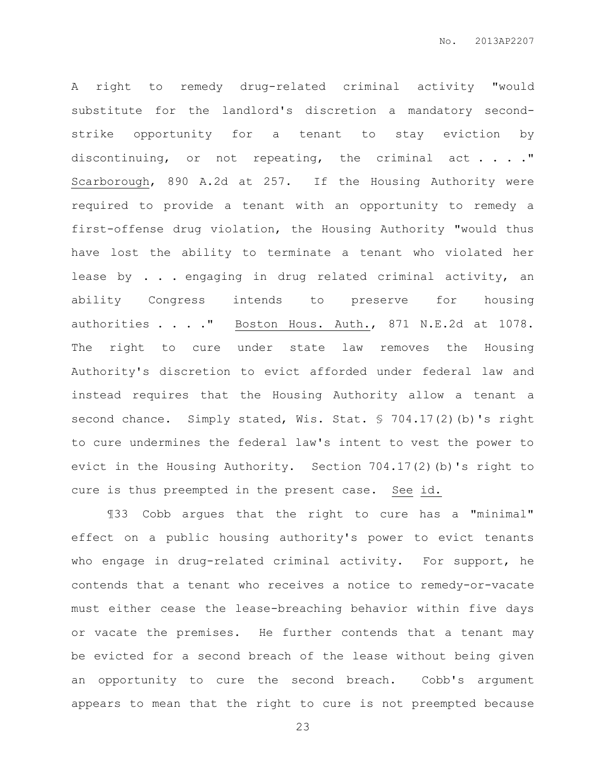A right to remedy drug-related criminal activity "would substitute for the landlord's discretion a mandatory secondstrike opportunity for a tenant to stay eviction by discontinuing, or not repeating, the criminal act . . . ." Scarborough, 890 A.2d at 257. If the Housing Authority were required to provide a tenant with an opportunity to remedy a first-offense drug violation, the Housing Authority "would thus have lost the ability to terminate a tenant who violated her lease by . . . engaging in drug related criminal activity, an ability Congress intends to preserve for housing authorities . . . ." Boston Hous. Auth., 871 N.E.2d at 1078. The right to cure under state law removes the Housing Authority's discretion to evict afforded under federal law and instead requires that the Housing Authority allow a tenant a second chance. Simply stated, Wis. Stat. § 704.17(2)(b)'s right to cure undermines the federal law's intent to vest the power to evict in the Housing Authority. Section 704.17(2)(b)'s right to cure is thus preempted in the present case. See id.

¶33 Cobb argues that the right to cure has a "minimal" effect on a public housing authority's power to evict tenants who engage in drug-related criminal activity. For support, he contends that a tenant who receives a notice to remedy-or-vacate must either cease the lease-breaching behavior within five days or vacate the premises. He further contends that a tenant may be evicted for a second breach of the lease without being given an opportunity to cure the second breach. Cobb's argument appears to mean that the right to cure is not preempted because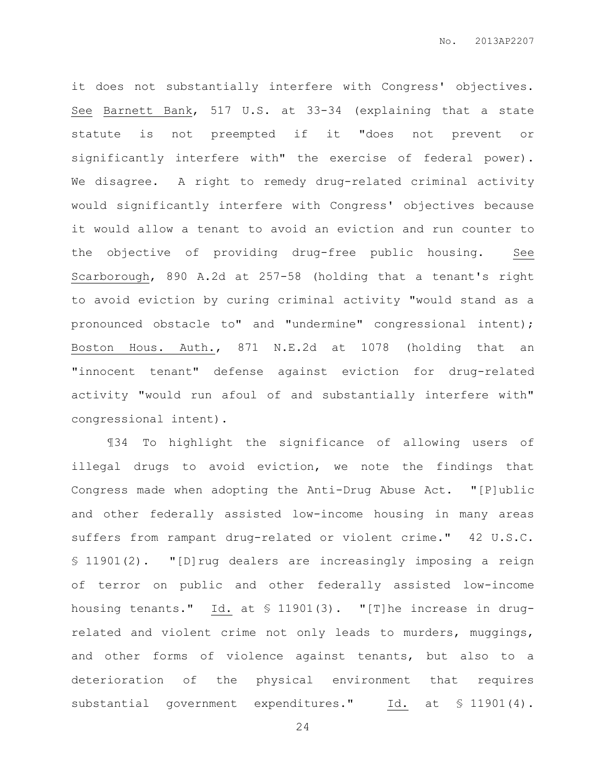it does not substantially interfere with Congress' objectives. See Barnett Bank, 517 U.S. at 33-34 (explaining that a state statute is not preempted if it "does not prevent or significantly interfere with" the exercise of federal power). We disagree. A right to remedy drug-related criminal activity would significantly interfere with Congress' objectives because it would allow a tenant to avoid an eviction and run counter to the objective of providing drug-free public housing. See Scarborough, 890 A.2d at 257-58 (holding that a tenant's right to avoid eviction by curing criminal activity "would stand as a pronounced obstacle to" and "undermine" congressional intent); Boston Hous. Auth., 871 N.E.2d at 1078 (holding that an "innocent tenant" defense against eviction for drug-related activity "would run afoul of and substantially interfere with" congressional intent).

¶34 To highlight the significance of allowing users of illegal drugs to avoid eviction, we note the findings that Congress made when adopting the Anti-Drug Abuse Act. "[P]ublic and other federally assisted low-income housing in many areas suffers from rampant drug-related or violent crime." 42 U.S.C. § 11901(2). "[D]rug dealers are increasingly imposing a reign of terror on public and other federally assisted low-income housing tenants." Id. at § 11901(3). "[T]he increase in drugrelated and violent crime not only leads to murders, muggings, and other forms of violence against tenants, but also to a deterioration of the physical environment that requires substantial government expenditures." Id. at § 11901(4).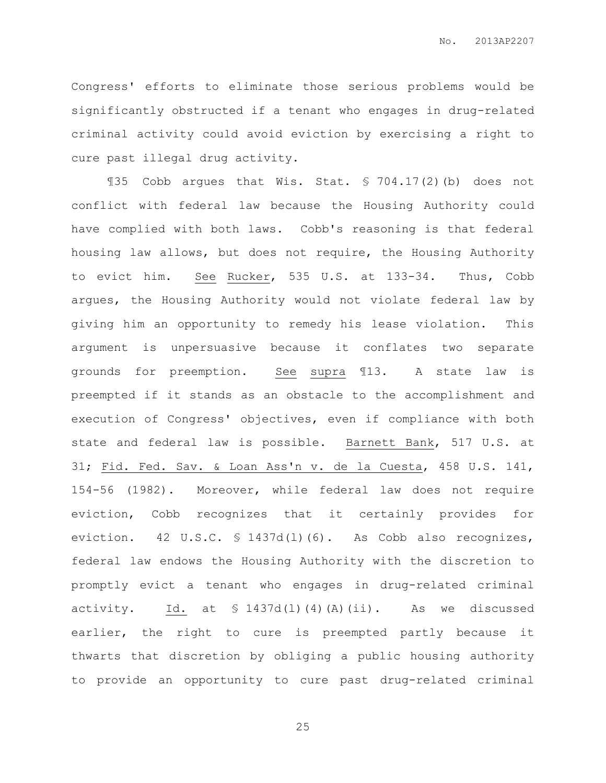Congress' efforts to eliminate those serious problems would be significantly obstructed if a tenant who engages in drug-related criminal activity could avoid eviction by exercising a right to cure past illegal drug activity.

¶35 Cobb argues that Wis. Stat. § 704.17(2)(b) does not conflict with federal law because the Housing Authority could have complied with both laws. Cobb's reasoning is that federal housing law allows, but does not require, the Housing Authority to evict him. See Rucker, 535 U.S. at 133-34. Thus, Cobb argues, the Housing Authority would not violate federal law by giving him an opportunity to remedy his lease violation. This argument is unpersuasive because it conflates two separate grounds for preemption. See supra ¶13. A state law is preempted if it stands as an obstacle to the accomplishment and execution of Congress' objectives, even if compliance with both state and federal law is possible. Barnett Bank, 517 U.S. at 31; Fid. Fed. Sav. & Loan Ass'n v. de la Cuesta, 458 U.S. 141, 154-56 (1982). Moreover, while federal law does not require eviction, Cobb recognizes that it certainly provides for eviction. 42 U.S.C. § 1437d(l)(6). As Cobb also recognizes, federal law endows the Housing Authority with the discretion to promptly evict a tenant who engages in drug-related criminal activity. Id. at § 1437d(l)(4)(A)(ii). As we discussed earlier, the right to cure is preempted partly because it thwarts that discretion by obliging a public housing authority to provide an opportunity to cure past drug-related criminal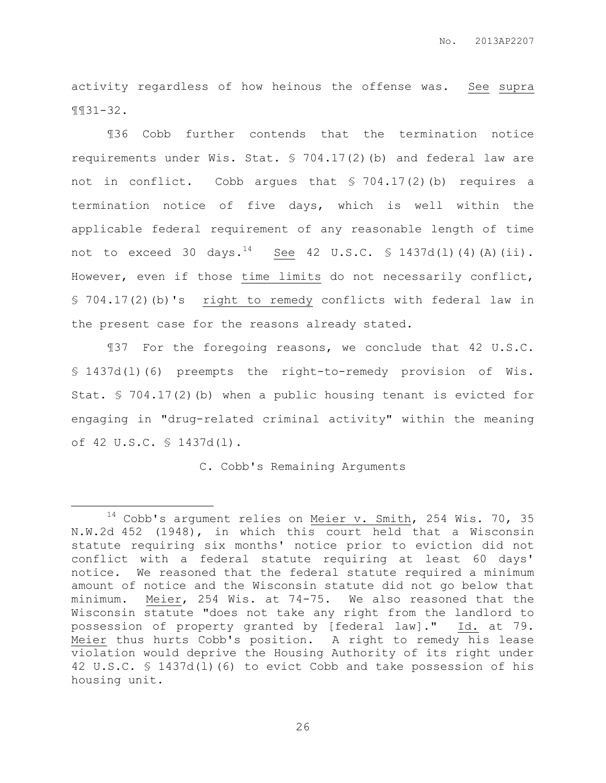activity regardless of how heinous the offense was. See supra ¶¶31-32.

¶36 Cobb further contends that the termination notice requirements under Wis. Stat. § 704.17(2)(b) and federal law are not in conflict. Cobb argues that § 704.17(2)(b) requires a termination notice of five days, which is well within the applicable federal requirement of any reasonable length of time not to exceed 30 days.<sup>14</sup> See 42 U.S.C. § 1437d(1)(4)(A)(ii). However, even if those time limits do not necessarily conflict, § 704.17(2)(b)'s right to remedy conflicts with federal law in the present case for the reasons already stated.

¶37 For the foregoing reasons, we conclude that 42 U.S.C. § 1437d(l)(6) preempts the right-to-remedy provision of Wis. Stat. § 704.17(2)(b) when a public housing tenant is evicted for engaging in "drug-related criminal activity" within the meaning of 42 U.S.C. § 1437d(l).

C. Cobb's Remaining Arguments

 $\overline{a}$ 

 $14$  Cobb's argument relies on Meier v. Smith, 254 Wis. 70, 35 N.W.2d 452 (1948), in which this court held that a Wisconsin statute requiring six months' notice prior to eviction did not conflict with a federal statute requiring at least 60 days' notice. We reasoned that the federal statute required a minimum amount of notice and the Wisconsin statute did not go below that minimum. Meier, 254 Wis. at 74-75. We also reasoned that the Wisconsin statute "does not take any right from the landlord to possession of property granted by [federal law]." Id. at 79. Meier thus hurts Cobb's position. A right to remedy his lease violation would deprive the Housing Authority of its right under 42 U.S.C. § 1437d(l)(6) to evict Cobb and take possession of his housing unit.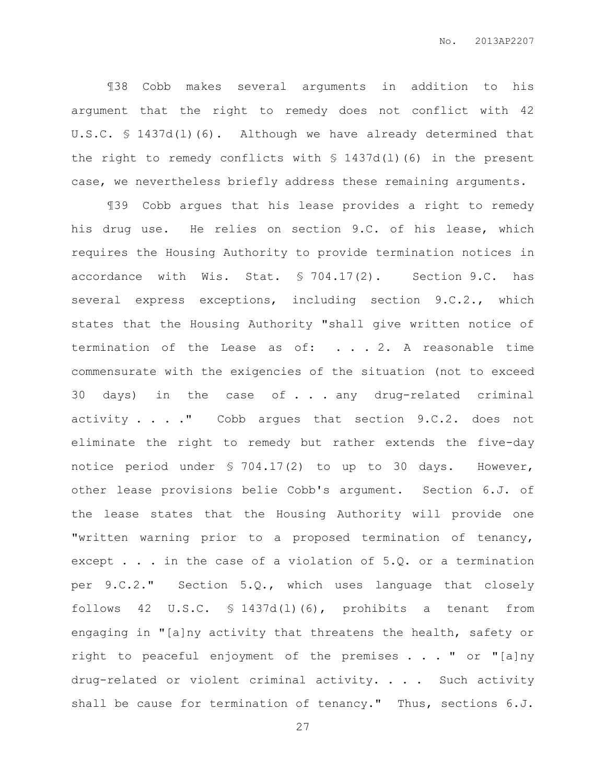¶38 Cobb makes several arguments in addition to his argument that the right to remedy does not conflict with 42 U.S.C. § 1437d(l)(6). Although we have already determined that the right to remedy conflicts with § 1437d(l)(6) in the present case, we nevertheless briefly address these remaining arguments.

¶39 Cobb argues that his lease provides a right to remedy his drug use. He relies on section 9.C. of his lease, which requires the Housing Authority to provide termination notices in accordance with Wis. Stat. § 704.17(2). Section 9.C. has several express exceptions, including section 9.C.2., which states that the Housing Authority "shall give written notice of termination of the Lease as of: . . . 2. A reasonable time commensurate with the exigencies of the situation (not to exceed 30 days) in the case of . . . any drug-related criminal activity . . . . " Cobb argues that section 9.C.2. does not eliminate the right to remedy but rather extends the five-day notice period under § 704.17(2) to up to 30 days. However, other lease provisions belie Cobb's argument. Section 6.J. of the lease states that the Housing Authority will provide one "written warning prior to a proposed termination of tenancy, except . . . in the case of a violation of 5.Q. or a termination per 9.C.2." Section 5.Q., which uses language that closely follows 42 U.S.C. § 1437d(l)(6), prohibits a tenant from engaging in "[a]ny activity that threatens the health, safety or right to peaceful enjoyment of the premises . . . " or "[a]ny drug-related or violent criminal activity. . . . Such activity shall be cause for termination of tenancy." Thus, sections 6.J.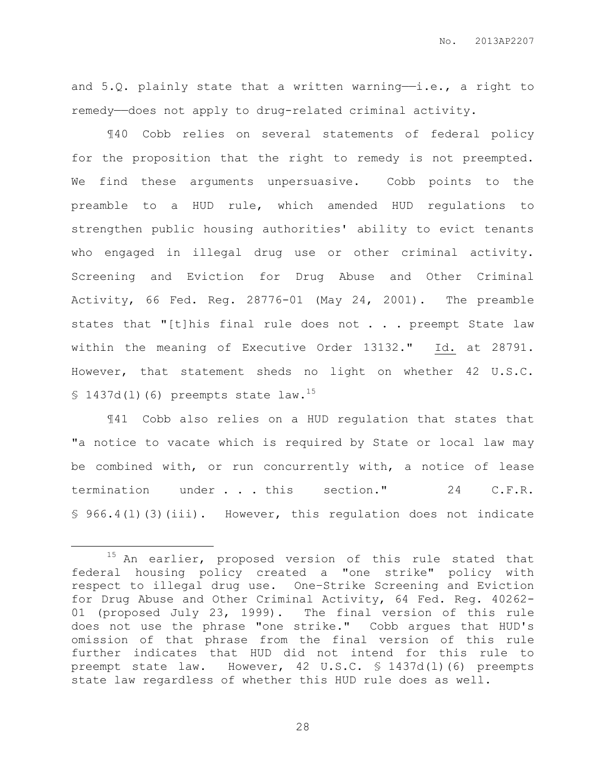and  $5.Q.$  plainly state that a written warning-i.e., a right to remedy—does not apply to drug-related criminal activity.

¶40 Cobb relies on several statements of federal policy for the proposition that the right to remedy is not preempted. We find these arguments unpersuasive. Cobb points to the preamble to a HUD rule, which amended HUD regulations to strengthen public housing authorities' ability to evict tenants who engaged in illegal drug use or other criminal activity. Screening and Eviction for Drug Abuse and Other Criminal Activity, 66 Fed. Reg. 28776-01 (May 24, 2001). The preamble states that "[t]his final rule does not  $\ldots$  preempt State law within the meaning of Executive Order 13132." Id. at 28791. However, that statement sheds no light on whether 42 U.S.C.  $$1437d(1)(6)$  preempts state law.<sup>15</sup>

¶41 Cobb also relies on a HUD regulation that states that "a notice to vacate which is required by State or local law may be combined with, or run concurrently with, a notice of lease termination under . . . this section." 24 C.F.R. § 966.4(l)(3)(iii). However, this regulation does not indicate

 $\overline{a}$ 

<sup>&</sup>lt;sup>15</sup> An earlier, proposed version of this rule stated that federal housing policy created a "one strike" policy with respect to illegal drug use. One–Strike Screening and Eviction for Drug Abuse and Other Criminal Activity, 64 Fed. Reg. 40262- 01 (proposed July 23, 1999). The final version of this rule does not use the phrase "one strike." Cobb argues that HUD's omission of that phrase from the final version of this rule further indicates that HUD did not intend for this rule to preempt state law. However, 42 U.S.C. § 1437d(l)(6) preempts state law regardless of whether this HUD rule does as well.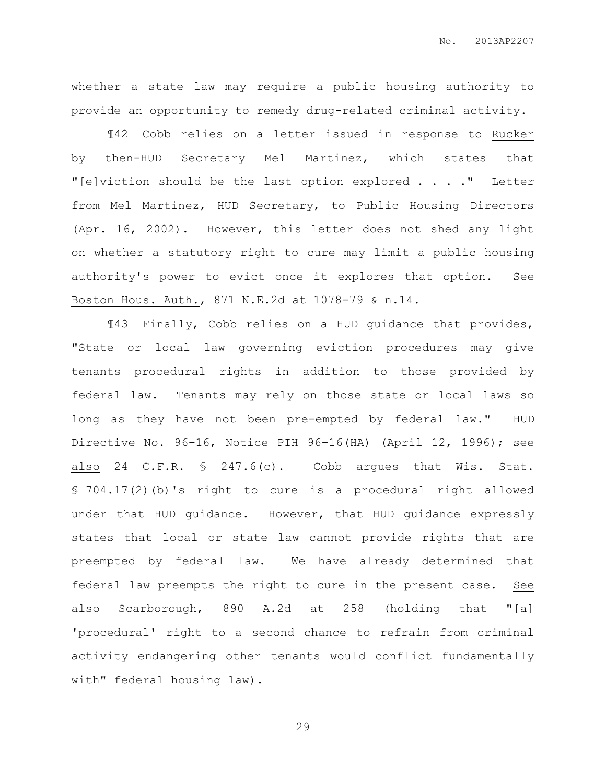whether a state law may require a public housing authority to provide an opportunity to remedy drug-related criminal activity.

¶42 Cobb relies on a letter issued in response to Rucker by then-HUD Secretary Mel Martinez, which states that "[e]viction should be the last option explored . . . ." Letter from Mel Martinez, HUD Secretary, to Public Housing Directors (Apr. 16, 2002). However, this letter does not shed any light on whether a statutory right to cure may limit a public housing authority's power to evict once it explores that option. See Boston Hous. Auth., 871 N.E.2d at 1078-79 & n.14.

¶43 Finally, Cobb relies on a HUD guidance that provides, "State or local law governing eviction procedures may give tenants procedural rights in addition to those provided by federal law. Tenants may rely on those state or local laws so long as they have not been pre-empted by federal law." HUD Directive No. 96–16, Notice PIH 96–16(HA) (April 12, 1996); see also 24 C.F.R. § 247.6(c). Cobb argues that Wis. Stat. § 704.17(2)(b)'s right to cure is a procedural right allowed under that HUD guidance. However, that HUD guidance expressly states that local or state law cannot provide rights that are preempted by federal law. We have already determined that federal law preempts the right to cure in the present case. See also Scarborough, 890 A.2d at 258 (holding that "[a] 'procedural' right to a second chance to refrain from criminal activity endangering other tenants would conflict fundamentally with" federal housing law).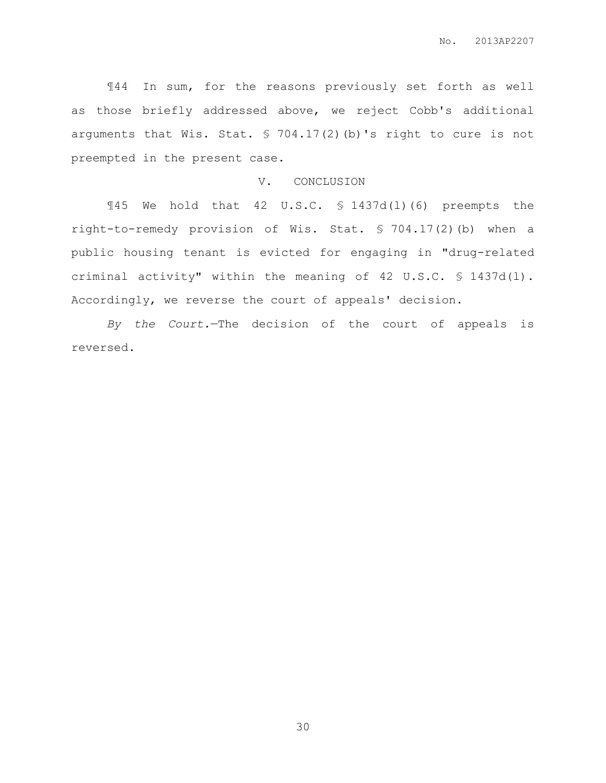¶44 In sum, for the reasons previously set forth as well as those briefly addressed above, we reject Cobb's additional arguments that Wis. Stat. § 704.17(2)(b)'s right to cure is not preempted in the present case.

#### V. CONCLUSION

¶45 We hold that 42 U.S.C. § 1437d(l)(6) preempts the right-to-remedy provision of Wis. Stat. § 704.17(2)(b) when a public housing tenant is evicted for engaging in "drug-related criminal activity" within the meaning of 42 U.S.C. § 1437d(l). Accordingly, we reverse the court of appeals' decision.

*By the Court.*—The decision of the court of appeals is reversed.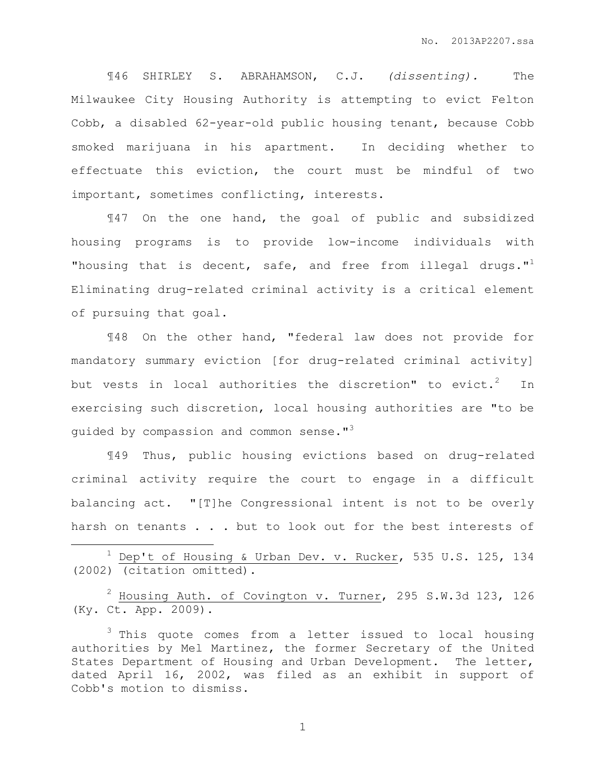¶46 SHIRLEY S. ABRAHAMSON, C.J. *(dissenting).* The Milwaukee City Housing Authority is attempting to evict Felton Cobb, a disabled 62-year-old public housing tenant, because Cobb smoked marijuana in his apartment. In deciding whether to effectuate this eviction, the court must be mindful of two important, sometimes conflicting, interests.

¶47 On the one hand, the goal of public and subsidized housing programs is to provide low-income individuals with "housing that is decent, safe, and free from illegal drugs." $1$ Eliminating drug-related criminal activity is a critical element of pursuing that goal.

¶48 On the other hand, "federal law does not provide for mandatory summary eviction [for drug-related criminal activity] but vests in local authorities the discretion" to evict.<sup>2</sup> In exercising such discretion, local housing authorities are "to be guided by compassion and common sense."<sup>3</sup>

¶49 Thus, public housing evictions based on drug-related criminal activity require the court to engage in a difficult balancing act. "[T]he Congressional intent is not to be overly harsh on tenants . . . but to look out for the best interests of

 $1$  Dep't of Housing & Urban Dev. v. Rucker, 535 U.S. 125, 134 (2002) (citation omitted).

 $\overline{a}$ 

 $2$  Housing Auth. of Covington v. Turner, 295 S.W.3d 123, 126 (Ky. Ct. App. 2009).

<sup>3</sup> This quote comes from a letter issued to local housing authorities by Mel Martinez, the former Secretary of the United States Department of Housing and Urban Development. The letter, dated April 16, 2002, was filed as an exhibit in support of Cobb's motion to dismiss.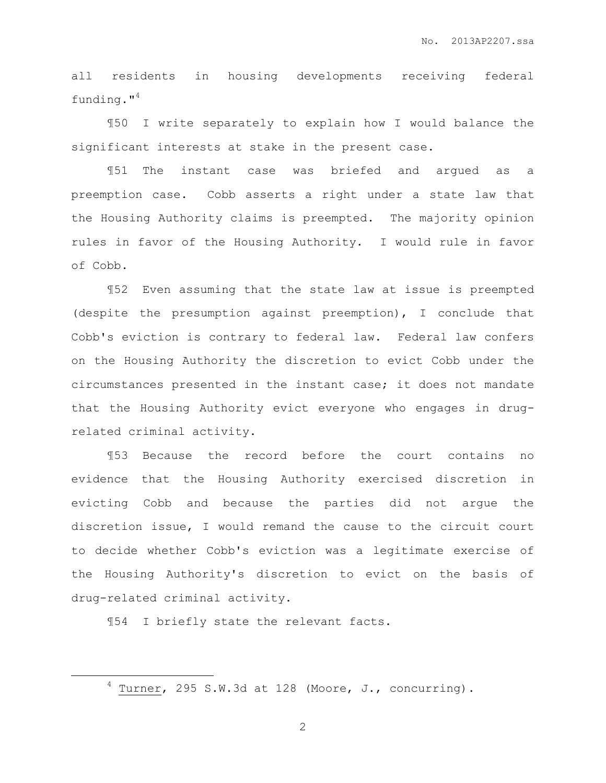all residents in housing developments receiving federal funding."<sup>4</sup>

¶50 I write separately to explain how I would balance the significant interests at stake in the present case.

¶51 The instant case was briefed and argued as a preemption case. Cobb asserts a right under a state law that the Housing Authority claims is preempted. The majority opinion rules in favor of the Housing Authority. I would rule in favor of Cobb.

¶52 Even assuming that the state law at issue is preempted (despite the presumption against preemption), I conclude that Cobb's eviction is contrary to federal law. Federal law confers on the Housing Authority the discretion to evict Cobb under the circumstances presented in the instant case; it does not mandate that the Housing Authority evict everyone who engages in drugrelated criminal activity.

¶53 Because the record before the court contains no evidence that the Housing Authority exercised discretion in evicting Cobb and because the parties did not argue the discretion issue, I would remand the cause to the circuit court to decide whether Cobb's eviction was a legitimate exercise of the Housing Authority's discretion to evict on the basis of drug-related criminal activity.

¶54 I briefly state the relevant facts.

 $\overline{a}$ 

 $4$  Turner, 295 S.W.3d at 128 (Moore, J., concurring).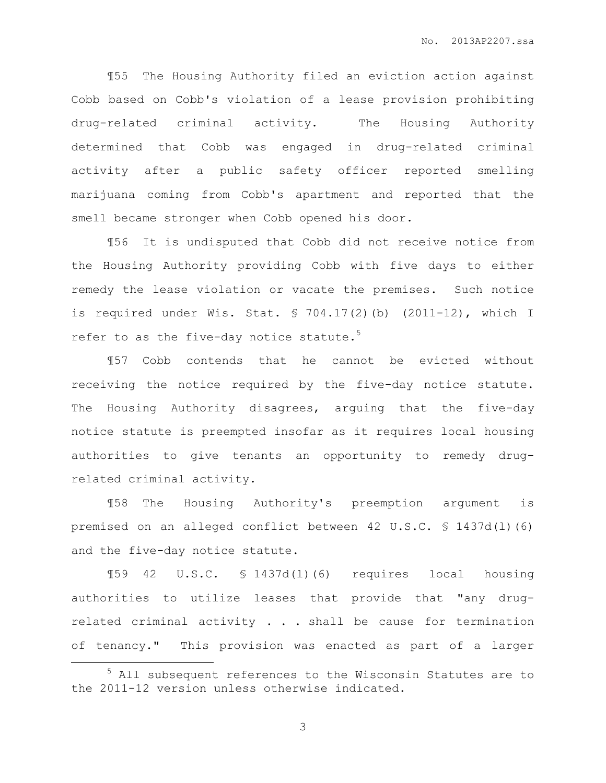¶55 The Housing Authority filed an eviction action against Cobb based on Cobb's violation of a lease provision prohibiting drug-related criminal activity. The Housing Authority determined that Cobb was engaged in drug-related criminal activity after a public safety officer reported smelling marijuana coming from Cobb's apartment and reported that the smell became stronger when Cobb opened his door.

¶56 It is undisputed that Cobb did not receive notice from the Housing Authority providing Cobb with five days to either remedy the lease violation or vacate the premises. Such notice is required under Wis. Stat. § 704.17(2)(b) (2011-12), which I refer to as the five-day notice statute.<sup>5</sup>

¶57 Cobb contends that he cannot be evicted without receiving the notice required by the five-day notice statute. The Housing Authority disagrees, arguing that the five-day notice statute is preempted insofar as it requires local housing authorities to give tenants an opportunity to remedy drugrelated criminal activity.

¶58 The Housing Authority's preemption argument is premised on an alleged conflict between 42 U.S.C. § 1437d(l)(6) and the five-day notice statute.

¶59 42 U.S.C. § 1437d(l)(6) requires local housing authorities to utilize leases that provide that "any drugrelated criminal activity . . . shall be cause for termination of tenancy." This provision was enacted as part of a larger

 $\overline{a}$ 

<sup>5</sup> All subsequent references to the Wisconsin Statutes are to the 2011-12 version unless otherwise indicated.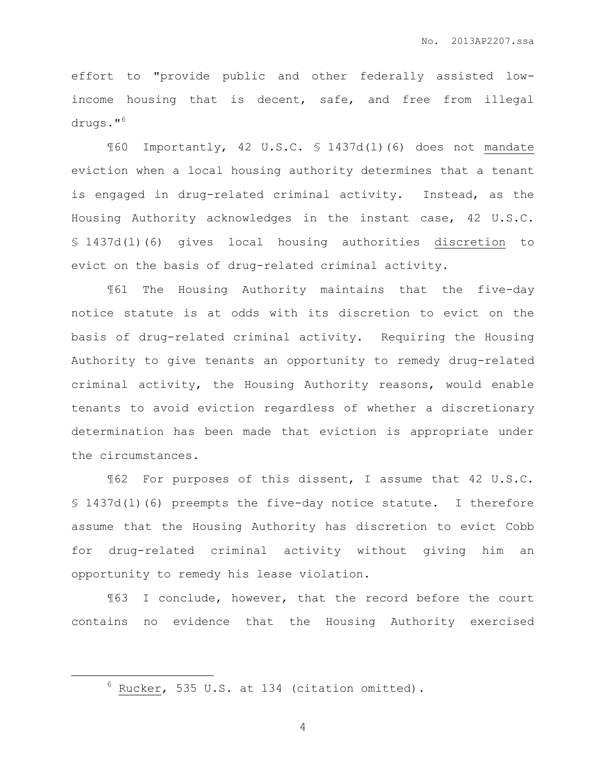effort to "provide public and other federally assisted lowincome housing that is decent, safe, and free from illegal drugs."<sup>6</sup>

¶60 Importantly, 42 U.S.C. § 1437d(l)(6) does not mandate eviction when a local housing authority determines that a tenant is engaged in drug-related criminal activity. Instead, as the Housing Authority acknowledges in the instant case, 42 U.S.C. § 1437d(l)(6) gives local housing authorities discretion to evict on the basis of drug-related criminal activity.

¶61 The Housing Authority maintains that the five-day notice statute is at odds with its discretion to evict on the basis of drug-related criminal activity. Requiring the Housing Authority to give tenants an opportunity to remedy drug-related criminal activity, the Housing Authority reasons, would enable tenants to avoid eviction regardless of whether a discretionary determination has been made that eviction is appropriate under the circumstances.

¶62 For purposes of this dissent, I assume that 42 U.S.C. § 1437d(l)(6) preempts the five-day notice statute. I therefore assume that the Housing Authority has discretion to evict Cobb for drug-related criminal activity without giving him an opportunity to remedy his lease violation.

¶63 I conclude, however, that the record before the court contains no evidence that the Housing Authority exercised

 $\overline{a}$ 

<sup>6</sup> Rucker, 535 U.S. at 134 (citation omitted).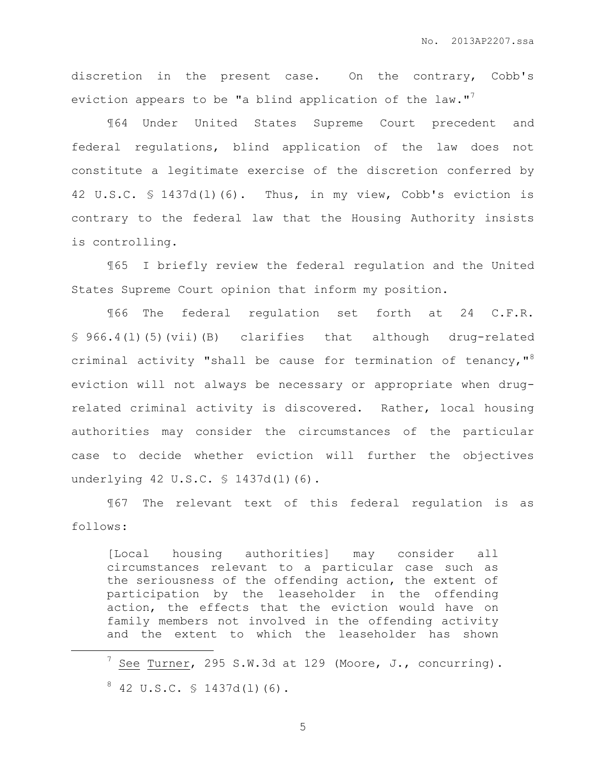discretion in the present case. On the contrary, Cobb's eviction appears to be "a blind application of the law."<sup>7</sup>

¶64 Under United States Supreme Court precedent and federal regulations, blind application of the law does not constitute a legitimate exercise of the discretion conferred by 42 U.S.C. § 1437d(l)(6). Thus, in my view, Cobb's eviction is contrary to the federal law that the Housing Authority insists is controlling.

¶65 I briefly review the federal regulation and the United States Supreme Court opinion that inform my position.

¶66 The federal regulation set forth at 24 C.F.R. § 966.4(l)(5)(vii)(B) clarifies that although drug-related criminal activity "shall be cause for termination of tenancy,  $"$ <sup>8</sup> eviction will not always be necessary or appropriate when drugrelated criminal activity is discovered. Rather, local housing authorities may consider the circumstances of the particular case to decide whether eviction will further the objectives underlying 42 U.S.C. § 1437d(1)(6).

¶67 The relevant text of this federal regulation is as follows:

[Local housing authorities] may consider all circumstances relevant to a particular case such as the seriousness of the offending action, the extent of participation by the leaseholder in the offending action, the effects that the eviction would have on family members not involved in the offending activity and the extent to which the leaseholder has shown

 $7$  See Turner, 295 S.W.3d at 129 (Moore, J., concurring).

 $\overline{a}$ 

 $8$  42 U.S.C.  $$$  1437d(1)(6).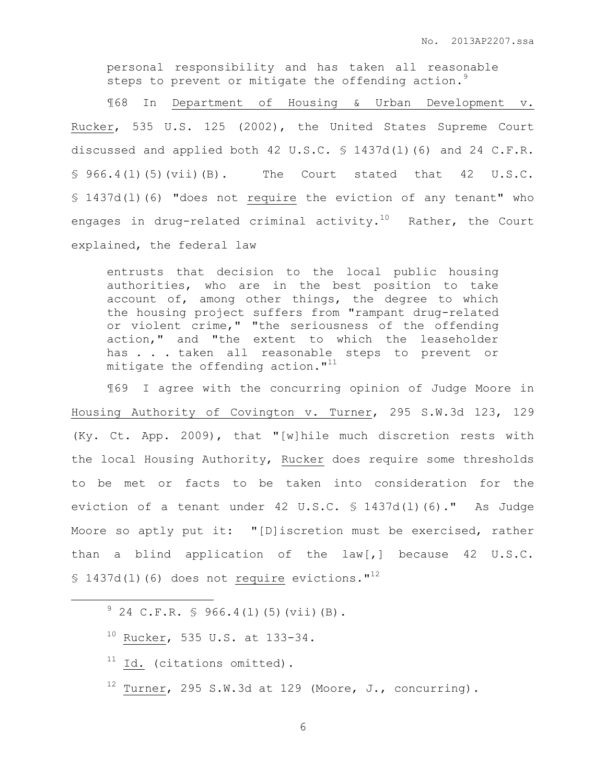personal responsibility and has taken all reasonable steps to prevent or mitigate the offending action. $^{9}$ 

¶68 In Department of Housing & Urban Development v. Rucker, 535 U.S. 125 (2002), the United States Supreme Court discussed and applied both 42 U.S.C. § 1437d(l)(6) and 24 C.F.R.  $$966.4(L)(5)(vii)(B).$  The Court stated that  $42 \text{ U.S.C.}$ § 1437d(l)(6) "does not require the eviction of any tenant" who engages in drug-related criminal activity.<sup>10</sup> Rather, the Court explained, the federal law

entrusts that decision to the local public housing authorities, who are in the best position to take account of, among other things, the degree to which the housing project suffers from "rampant drug-related or violent crime," "the seriousness of the offending action," and "the extent to which the leaseholder has . . . taken all reasonable steps to prevent or mitigate the offending action. $"$ <sup>11</sup>

¶69 I agree with the concurring opinion of Judge Moore in Housing Authority of Covington v. Turner, 295 S.W.3d 123, 129 (Ky. Ct. App. 2009), that "[w]hile much discretion rests with the local Housing Authority, Rucker does require some thresholds to be met or facts to be taken into consideration for the eviction of a tenant under 42 U.S.C. § 1437d(l)(6)." As Judge Moore so aptly put it: "[D]iscretion must be exercised, rather than a blind application of the law[,] because 42 U.S.C. § 1437d(1)(6) does not require evictions." $12$ 

 $9^{9}$  24 C.F.R. § 966.4(1)(5)(vii)(B).

- <sup>10</sup> Rucker, 535 U.S. at 133-34.
- $11$  Id. (citations omitted).

 $\overline{a}$ 

 $12$  Turner, 295 S.W.3d at 129 (Moore, J., concurring).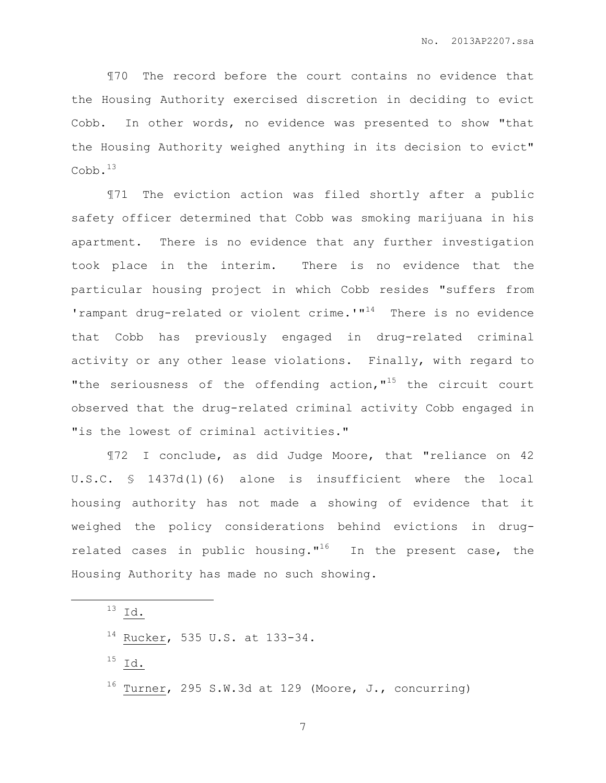¶70 The record before the court contains no evidence that the Housing Authority exercised discretion in deciding to evict Cobb. In other words, no evidence was presented to show "that the Housing Authority weighed anything in its decision to evict"  $Cobb.^{13}$ 

¶71 The eviction action was filed shortly after a public safety officer determined that Cobb was smoking marijuana in his apartment. There is no evidence that any further investigation took place in the interim. There is no evidence that the particular housing project in which Cobb resides "suffers from 'rampant drug-related or violent crime.'" $14$  There is no evidence that Cobb has previously engaged in drug-related criminal activity or any other lease violations. Finally, with regard to "the seriousness of the offending action,  $1^{15}$  the circuit court observed that the drug-related criminal activity Cobb engaged in "is the lowest of criminal activities."

¶72 I conclude, as did Judge Moore, that "reliance on 42 U.S.C. § 1437d(l)(6) alone is insufficient where the local housing authority has not made a showing of evidence that it weighed the policy considerations behind evictions in drugrelated cases in public housing."<sup>16</sup> In the present case, the Housing Authority has made no such showing.

<sup>13</sup> I<u>d.</u>

 $\overline{a}$ 

<sup>14</sup> Rucker, 535 U.S. at 133-34.

<sup>15</sup> Id.

 $16$  Turner, 295 S.W.3d at 129 (Moore, J., concurring)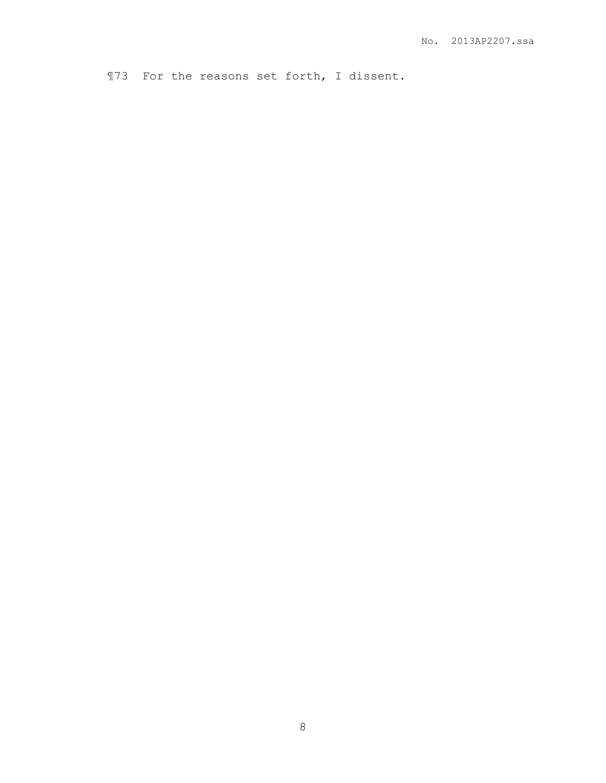¶73 For the reasons set forth, I dissent.